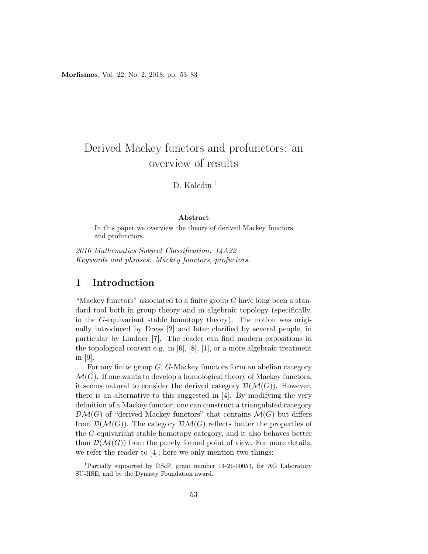Morfismos, Vol. 22, No. 2, 2018, pp. 53–83

# Derived Mackey functors and profunctors: an overview of results

# D. Kaledin $1$

#### Abstract

In this paper we overview the theory of derived Mackey functors and profunctors.

2010 Mathematics Subject Classification: 14A22 Keywords and phrases: Mackey functors, profuctors.

## 1 Introduction

"Mackey functors" associated to a finite group  $G$  have long been a standard tool both in group theory and in algebraic topology (specifically, in the G-equivariant stable homotopy theory). The notion was originally introduced by Dress [2] and later clarified by several people, in particular by Lindner [7]. The reader can find modern expositions in the topological context e.g. in [6], [8], [1], or a more algebraic treatment in [9].

For any finite group G, G-Mackey functors form an abelian category  $\mathcal{M}(G)$ . If one wants to develop a homological theory of Mackey functors, it seems natural to consider the derived category  $\mathcal{D}(\mathcal{M}(G))$ . However, there is an alternative to this suggested in [4]. By modifying the very definition of a Mackey functor, one can construct a triangulated category  $\mathcal{DM}(G)$  of "derived Mackey functors" that contains  $\mathcal{M}(G)$  but differs from  $\mathcal{D}(\mathcal{M}(G))$ . The category  $\mathcal{D}\mathcal{M}(G)$  reflects better the properties of the G-equivariant stable homotopy category, and it also behaves better than  $\mathcal{D}(\mathcal{M}(G))$  from the purely formal point of view. For more details, we refer the reader to [4]; here we only mention two things:

<sup>1</sup>Partially supported by RScF, grant number 14-21-00053, for AG Laboratory SU-HSE, and by the Dynasty Foundation award.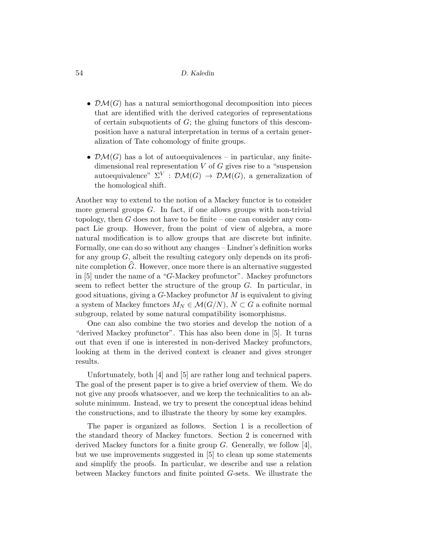- $\mathcal{DM}(G)$  has a natural semiorthogonal decomposition into pieces that are identified with the derived categories of representations of certain subquotients of  $G$ ; the gluing functors of this descomposition have a natural interpretation in terms of a certain generalization of Tate cohomology of finite groups.
- $\mathcal{DM}(G)$  has a lot of autoequivalences in particular, any finitedimensional real representation  $V$  of  $G$  gives rise to a "suspension autoequivalence"  $\Sigma^V : \mathcal{DM}(G) \to \mathcal{DM}(G)$ , a generalization of the homological shift.

Another way to extend to the notion of a Mackey functor is to consider more general groups  $G$ . In fact, if one allows groups with non-trivial topology, then  $G$  does not have to be finite – one can consider any compact Lie group. However, from the point of view of algebra, a more natural modification is to allow groups that are discrete but infinite. Formally, one can do so without any changes – Lindner's definition works for any group  $G$ , albeit the resulting category only depends on its profinite completion  $\widehat{G}$ . However, once more there is an alternative suggested in [5] under the name of a "G-Mackey profunctor". Mackey profunctors seem to reflect better the structure of the group  $G$ . In particular, in good situations, giving a  $G$ -Mackey profunctor  $M$  is equivalent to giving a system of Mackey functors  $M_N \in \mathcal{M}(G/N)$ ,  $N \subset G$  a cofinite normal subgroup, related by some natural compatibility isomorphisms.

One can also combine the two stories and develop the notion of a "derived Mackey profunctor". This has also been done in [5]. It turns out that even if one is interested in non-derived Mackey profunctors, looking at them in the derived context is cleaner and gives stronger results.

Unfortunately, both [4] and [5] are rather long and technical papers. The goal of the present paper is to give a brief overview of them. We do not give any proofs whatsoever, and we keep the technicalities to an absolute minimum. Instead, we try to present the conceptual ideas behind the constructions, and to illustrate the theory by some key examples.

The paper is organized as follows. Section 1 is a recollection of the standard theory of Mackey functors. Section 2 is concerned with derived Mackey functors for a finite group  $G$ . Generally, we follow [4], but we use improvements suggested in [5] to clean up some statements and simplify the proofs. In particular, we describe and use a relation between Mackey functors and finite pointed G-sets. We illustrate the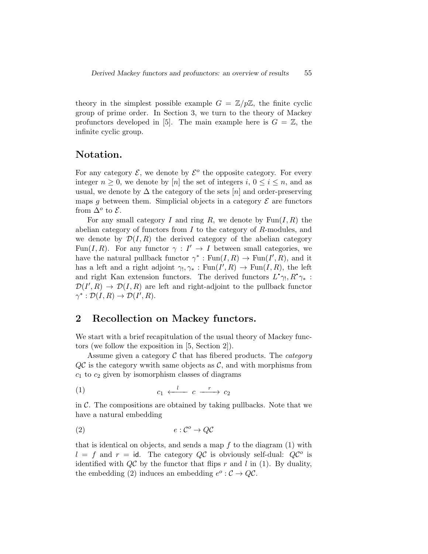theory in the simplest possible example  $G = \mathbb{Z}/p\mathbb{Z}$ , the finite cyclic group of prime order. In Section 3, we turn to the theory of Mackey profunctors developed in [5]. The main example here is  $G = \mathbb{Z}$ , the infinite cyclic group.

### Notation.

For any category  $\mathcal{E}$ , we denote by  $\mathcal{E}^o$  the opposite category. For every integer  $n > 0$ , we denote by [n] the set of integers i,  $0 \le i \le n$ , and as usual, we denote by  $\Delta$  the category of the sets [n] and order-preserving maps q between them. Simplicial objects in a category  $\mathcal E$  are functors from  $\Delta^o$  to  $\mathcal{E}.$ 

For any small category I and ring R, we denote by  $\text{Fun}(I, R)$  the abelian category of functors from  $I$  to the category of  $R$ -modules, and we denote by  $\mathcal{D}(I, R)$  the derived category of the abelian category Fun(I, R). For any functor  $\gamma: I' \to I$  between small categories, we have the natural pullback functor  $\gamma^* : \text{Fun}(I, R) \to \text{Fun}(I', R)$ , and it has a left and a right adjoint  $\gamma_!, \gamma_* : \text{Fun}(I', R) \to \text{Fun}(I, R)$ , the left and right Kan extension functors. The derived functors  $L^{\bullet}\gamma_!, R^{\bullet}\gamma_*$ :  $\mathcal{D}(I',R) \to \mathcal{D}(I,R)$  are left and right-adjoint to the pullback functor  $\gamma^* : \mathcal{D}(I,R) \to \mathcal{D}(I',R).$ 

# 2 Recollection on Mackey functors.

We start with a brief recapitulation of the usual theory of Mackey functors (we follow the exposition in [5, Section 2]).

Assume given a category  $\mathcal C$  that has fibered products. The *category*  $Q\mathcal{C}$  is the category wwith same objects as  $\mathcal{C}$ , and with morphisms from  $c_1$  to  $c_2$  given by isomorphism classes of diagrams

$$
(1) \t c_1 \xleftarrow{l} c \xrightarrow{r} c_2
$$

in  $\mathcal{C}$ . The compositions are obtained by taking pullbacks. Note that we have a natural embedding

$$
(2) \t\t e: \mathcal{C}^o \to Q\mathcal{C}
$$

that is identical on objects, and sends a map  $f$  to the diagram  $(1)$  with  $l = f$  and  $r = id$ . The category QC is obviously self-dual: QC<sup>o</sup> is identified with  $Q\mathcal{C}$  by the functor that flips r and l in (1). By duality, the embedding (2) induces an embedding  $e^o : \mathcal{C} \to Q\mathcal{C}$ .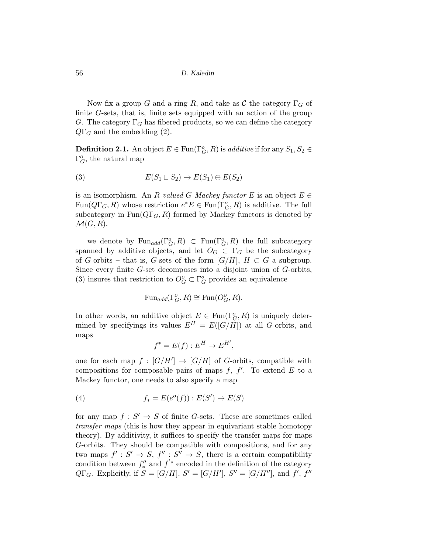Now fix a group G and a ring R, and take as C the category  $\Gamma_G$  of finite G-sets, that is, finite sets equipped with an action of the group G. The category  $\Gamma_G$  has fibered products, so we can define the category  $Q\Gamma_G$  and the embedding (2).

**Definition 2.1.** An object  $E \in \text{Fun}(\Gamma_G^o, R)$  is *additive* if for any  $S_1, S_2 \in$  $\Gamma_G^o$ , the natural map

(3) 
$$
E(S_1 \sqcup S_2) \to E(S_1) \oplus E(S_2)
$$

is an isomorphism. An R-valued G-Mackey functor E is an object  $E \in$  $\text{Fun}(Q\Gamma_G, R)$  whose restriction  $e^*E \in \text{Fun}(\Gamma_G^o, R)$  is additive. The full subcategory in  $Fun(Q\Gamma<sub>G</sub>, R)$  formed by Mackey functors is denoted by  $\mathcal{M}(G,R).$ 

we denote by  $\text{Fun}_{add}(\Gamma^o_G, R) \subset \text{Fun}(\Gamma^o_G, R)$  the full subcategory spanned by additive objects, and let  $O_G \subset \Gamma_G$  be the subcategory of G-orbits – that is, G-sets of the form  $|G/H|$ ,  $H \subset G$  a subgroup. Since every finite G-set decomposes into a disjoint union of G-orbits, (3) insures that restriction to  $O_G^o \subset \Gamma_G^o$  provides an equivalence

$$
\mathrm{Fun}_{add}(\Gamma^o_G, R) \cong \mathrm{Fun}(O^o_G, R).
$$

In other words, an additive object  $E \in \text{Fun}(\Gamma^o_G, R)$  is uniquely determined by specifyings its values  $E^H = E([G/H])$  at all G-orbits, and maps

$$
f^* = E(f) : E^H \to E^{H'},
$$

one for each map  $f : [G/H'] \to [G/H]$  of G-orbits, compatible with compositions for composable pairs of maps  $f, f'$ . To extend  $E$  to a Mackey functor, one needs to also specify a map

(4) 
$$
f_* = E(e^o(f)) : E(S') \to E(S)
$$

for any map  $f: S' \to S$  of finite G-sets. These are sometimes called transfer maps (this is how they appear in equivariant stable homotopy theory). By additivity, it suffices to specify the transfer maps for maps G-orbits. They should be compatible with compositions, and for any two maps  $f': S' \to S$ ,  $f'' : S'' \to S$ , there is a certain compatibility condition between  $f''_*$  and  $f'^*$  encoded in the definition of the category  $Q\Gamma_G$ . Explicitly, if  $S = [G/H]$ ,  $S' = [G/H']$ ,  $S'' = [G/H'']$ , and  $f'$ ,  $f''$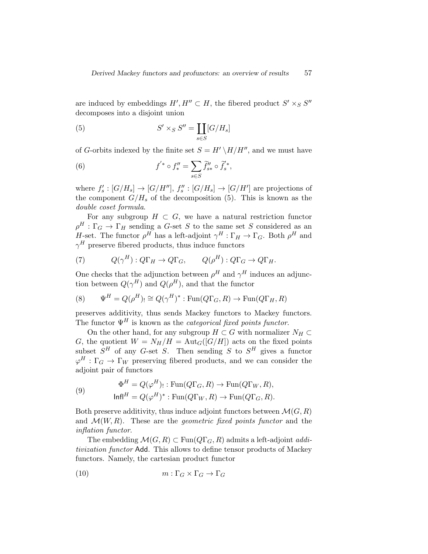are induced by embeddings  $H', H'' \subset H$ , the fibered product  $S' \times_S S''$ decomposes into a disjoint union

(5) 
$$
S' \times_S S'' = \coprod_{s \in S} [G/H_s]
$$

of G-orbits indexed by the finite set  $S = H' \setminus H/H''$ , and we must have

(6) 
$$
f^{'*} \circ f''_* = \sum_{s \in S} \widetilde{f}''_{s*} \circ \widetilde{f}^{'*}_s,
$$

where  $f'_s : [G/H_s] \to [G/H'']$ ,  $f''_s : [G/H_s] \to [G/H']$  are projections of the component  $G/H_s$  of the decomposition (5). This is known as the double coset formula.

For any subgroup  $H \subset G$ , we have a natural restriction functor  $\rho^H : \Gamma_G \to \Gamma_H$  sending a G-set S to the same set S considered as an H-set. The functor  $\rho^H$  has a left-adjoint  $\gamma^H : \Gamma_H \to \Gamma_G$ . Both  $\rho^H$  and  $\gamma^H$  preserve fibered products, thus induce functors

(7) 
$$
Q(\gamma^H): Q\Gamma_H \to Q\Gamma_G
$$
,  $Q(\rho^H): Q\Gamma_G \to Q\Gamma_H$ .

One checks that the adjunction between  $\rho^H$  and  $\gamma^H$  induces an adjunction between  $Q(\gamma^H)$  and  $Q(\rho^H)$ , and that the functor

(8) 
$$
\Psi^H = Q(\rho^H) \equiv Q(\gamma^H)^* : \text{Fun}(Q\Gamma_G, R) \to \text{Fun}(Q\Gamma_H, R)
$$

preserves additivity, thus sends Mackey functors to Mackey functors. The functor  $\Psi^H$  is known as the *categorical fixed points functor*.

On the other hand, for any subgroup  $H \subset G$  with normalizer  $N_H \subset$ G, the quotient  $W = N_H/H = \text{Aut}_G([G/H])$  acts on the fixed points subset  $S^H$  of any G-set S. Then sending S to  $S^H$  gives a functor  $\varphi^H : \Gamma_G \to \Gamma_W$  preserving fibered products, and we can consider the adjoint pair of functors

(9) 
$$
\Phi^H = Q(\varphi^H) : \text{Fun}(Q\Gamma_G, R) \to \text{Fun}(Q\Gamma_W, R),
$$

$$
\text{Inf}^H = Q(\varphi^H)^* : \text{Fun}(Q\Gamma_W, R) \to \text{Fun}(Q\Gamma_G, R).
$$

Both preserve additivity, thus induce adjoint functors between  $\mathcal{M}(G, R)$ and  $\mathcal{M}(W, R)$ . These are the *geometric fixed points functor* and the inflation functor.

The embedding  $\mathcal{M}(G, R) \subset \text{Fun}(Q\Gamma_G, R)$  admits a left-adjoint *addi*tivization functor Add. This allows to define tensor products of Mackey functors. Namely, the cartesian product functor

(10) 
$$
m: \Gamma_G \times \Gamma_G \to \Gamma_G
$$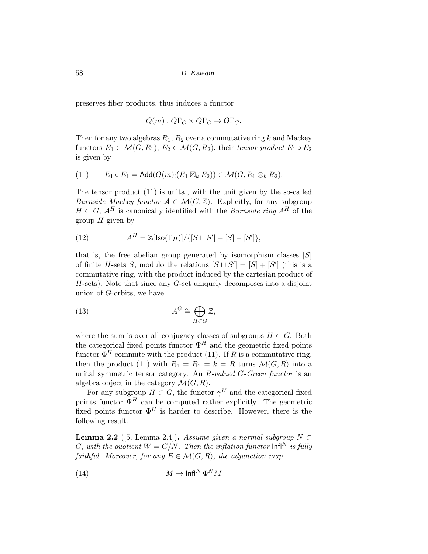preserves fiber products, thus induces a functor

$$
Q(m): Q\Gamma_G \times Q\Gamma_G \to Q\Gamma_G.
$$

Then for any two algebras  $R_1, R_2$  over a commutative ring k and Mackey functors  $E_1 \in \mathcal{M}(G, R_1), E_2 \in \mathcal{M}(G, R_2)$ , their tensor product  $E_1 \circ E_2$ is given by

(11) 
$$
E_1 \circ E_1 = \mathsf{Add}(Q(m_1(E_1 \boxtimes_k E_2)) \in \mathcal{M}(G, R_1 \otimes_k R_2).
$$

The tensor product (11) is unital, with the unit given by the so-called *Burnside Mackey functor*  $A \in \mathcal{M}(G,\mathbb{Z})$ . Explicitly, for any subgroup  $H \subset G$ ,  $\mathcal{A}^H$  is canonically identified with the *Burnside ring*  $A^H$  of the group  $H$  given by

(12) 
$$
A^H = \mathbb{Z}[\text{Iso}(\Gamma_H)] / \{ [S \sqcup S'] - [S] - [S'] \},
$$

that is, the free abelian group generated by isomorphism classes  $[S]$ of finite H-sets S, modulo the relations  $|S \cup S'| = |S| + |S'|$  (this is a commutative ring, with the product induced by the cartesian product of  $H$ -sets). Note that since any  $G$ -set uniquely decomposes into a disjoint union of G-orbits, we have

(13) 
$$
A^G \cong \bigoplus_{H \subset G} \mathbb{Z},
$$

where the sum is over all conjugacy classes of subgroups  $H \subset G$ . Both the categorical fixed points functor  $\Psi^H$  and the geometric fixed points functor  $\Phi^H$  commute with the product (11). If R is a commutative ring, then the product (11) with  $R_1 = R_2 = k = R$  turns  $\mathcal{M}(G, R)$  into a unital symmetric tensor category. An R-valued G-Green functor is an algebra object in the category  $\mathcal{M}(G, R)$ .

For any subgroup  $H \subset G$ , the functor  $\gamma^H$  and the categorical fixed points functor  $\Psi^H$  can be computed rather explicitly. The geometric fixed points functor  $\Phi^H$  is harder to describe. However, there is the following result.

**Lemma 2.2** ([5, Lemma 2.4]). Assume given a normal subgroup  $N \subset$ G, with the quotient  $W = G/N$ . Then the inflation functor  $\text{Infl}^N$  is fully faithful. Moreover, for any  $E \in \mathcal{M}(G,R)$ , the adjunction map

$$
(14) \t\t\t M \to \ln \ln^N \Phi^N M
$$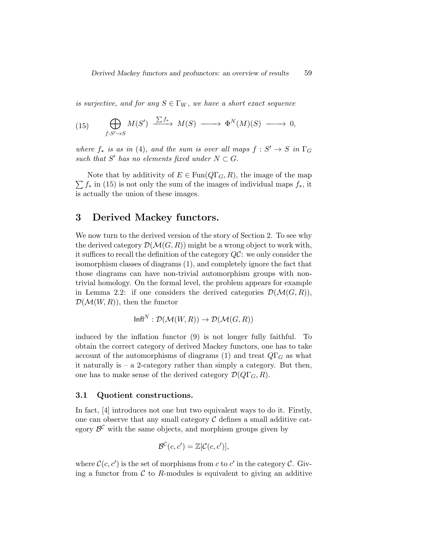is surjective, and for any  $S \in \Gamma_W$ , we have a short exact sequence

(15) 
$$
\bigoplus_{f:S'\to S} M(S') \xrightarrow{\sum f_*} M(S) \longrightarrow \Phi^N(M)(S) \longrightarrow 0,
$$

where  $f_*$  is as in (4), and the sum is over all maps  $f: S' \to S$  in  $\Gamma_G$ such that S' has no elements fixed under  $N \subset G$ .

 $\sum f_*$  in (15) is not only the sum of the images of individual maps  $f_*,$  it Note that by additivity of  $E \in \text{Fun}(Q\Gamma_G, R)$ , the image of the map is actually the union of these images.

# 3 Derived Mackey functors.

We now turn to the derived version of the story of Section 2. To see why the derived category  $\mathcal{D}(\mathcal{M}(G,R))$  might be a wrong object to work with, it suffices to recall the definition of the category QC: we only consider the isomorphism classes of diagrams (1), and completely ignore the fact that those diagrams can have non-trivial automorphism groups with nontrivial homology. On the formal level, the problem appears for example in Lemma 2.2: if one considers the derived categories  $\mathcal{D}(\mathcal{M}(G,\mathbb{R}))$ ,  $\mathcal{D}(\mathcal{M}(W,R))$ , then the functor

$$
Infl^N: \mathcal{D}(\mathcal{M}(W,R)) \to \mathcal{D}(\mathcal{M}(G,R))
$$

induced by the inflation functor (9) is not longer fully faithful. To obtain the correct category of derived Mackey functors, one has to take account of the automorphisms of diagrams (1) and treat  $Q\Gamma_G$  as what it naturally is  $-$  a 2-category rather than simply a category. But then, one has to make sense of the derived category  $\mathcal{D}(Q\Gamma_{G}, R)$ .

#### 3.1 Quotient constructions.

In fact, [4] introduces not one but two equivalent ways to do it. Firstly, one can observe that any small category  $\mathcal C$  defines a small additive category  $\mathcal{B}^{\mathcal{C}}$  with the same objects, and morphism groups given by

$$
\mathcal{B}^{\mathcal{C}}(c,c') = \mathbb{Z}[\mathcal{C}(c,c')],
$$

where  $\mathcal{C}(c, c')$  is the set of morphisms from c to c' in the category C. Giving a functor from  $\mathcal C$  to R-modules is equivalent to giving an additive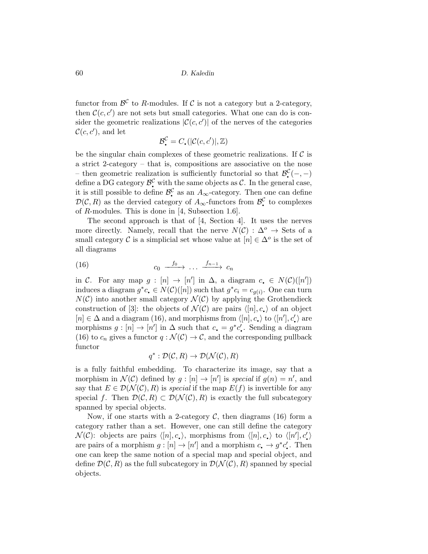functor from  $\mathcal{B}^{\mathcal{C}}$  to R-modules. If C is not a category but a 2-category, then  $\mathcal{C}(c, c')$  are not sets but small categories. What one can do is consider the geometric realizations  $|\mathcal{C}(c, c')|$  of the nerves of the categories  $\mathcal{C}(c, c')$ , and let

$$
\mathcal{B}_{\bullet}^{\mathcal{C}}=C_{\bullet}(|\mathcal{C}(c,c')|,\mathbb{Z})
$$

be the singular chain complexes of these geometric realizations. If  $\mathcal C$  is a strict 2-category – that is, compositions are associative on the nose – then geometric realization is sufficiently functorial so that  $\mathcal{B}^{\mathcal{C}}_{\bullet}(-,-)$ define a DG category  $\mathcal{B}^{\mathcal{C}}$  with the same objects as C. In the general case, it is still possible to define  $\mathcal{B}^{\mathcal{C}}$  as an  $A_{\infty}$ -category. Then one can define  $\mathcal{D}(\mathcal{C}, R)$  as the dervied category of  $A_{\infty}$ -functors from  $\mathcal{B}_{\bullet}^{\mathcal{C}}$  to complexes of  $R$ -modules. This is done in [4, Subsection 1.6].

The second approach is that of [4, Section 4]. It uses the nerves more directly. Namely, recall that the nerve  $N(\mathcal{C}) : \Delta^{\circ} \to \mathsf{Sets}$  of a small category C is a simplicial set whose value at  $[n] \in \Delta^o$  is the set of all diagrams

$$
(16) \t\t c_0 \xrightarrow{f_0} \dots \xrightarrow{f_{n-1}} c_n
$$

in C. For any map  $g : [n] \rightarrow [n']$  in  $\Delta$ , a diagram  $c \in N(C)([n'])$ induces a diagram  $g^*c \in N(\mathcal{C})([n])$  such that  $g^*c_i = c_{g(i)}$ . One can turn  $N(\mathcal{C})$  into another small category  $\mathcal{N}(\mathcal{C})$  by applying the Grothendieck construction of [3]: the objects of  $\mathcal{N}(\mathcal{C})$  are pairs  $\langle [n], c_{\bullet} \rangle$  of an object  $[n] \in \Delta$  and a diagram (16), and morphisms from  $\langle [n], c \rangle$  to  $\langle [n'], c' \rangle$  are morphisms  $g: [n] \to [n']$  in  $\Delta$  such that  $c_{\bullet} = g^* c'_{\bullet}$ . Sending a diagram (16) to  $c_n$  gives a functor  $q : \mathcal{N}(\mathcal{C}) \to \mathcal{C}$ , and the corresponding pullback functor

$$
q^* : \mathcal{D}(\mathcal{C}, R) \to \mathcal{D}(\mathcal{N}(\mathcal{C}), R)
$$

is a fully faithful embedding. To characterize its image, say that a morphism in  $\mathcal{N}(\mathcal{C})$  defined by  $g: [n] \to [n']$  is special if  $g(n) = n'$ , and say that  $E \in \mathcal{D}(\mathcal{N}(\mathcal{C}), R)$  is special if the map  $E(f)$  is invertible for any special f. Then  $\mathcal{D}(\mathcal{C}, R) \subset \mathcal{D}(\mathcal{N}(\mathcal{C}), R)$  is exactly the full subcategory spanned by special objects.

Now, if one starts with a 2-category  $\mathcal{C}$ , then diagrams (16) form a category rather than a set. However, one can still define the category  $\mathcal{N}(\mathcal{C})$ : objects are pairs  $\langle [n], c_{\bullet} \rangle$ , morphisms from  $\langle [n], c_{\bullet} \rangle$  to  $\langle [n'], c_{\bullet}' \rangle$ are pairs of a morphism  $g: [n] \to [n']$  and a morphism  $c \to g^*c'$ . Then one can keep the same notion of a special map and special object, and define  $\mathcal{D}(\mathcal{C}, R)$  as the full subcategory in  $\mathcal{D}(\mathcal{N}(\mathcal{C}), R)$  spanned by special objects.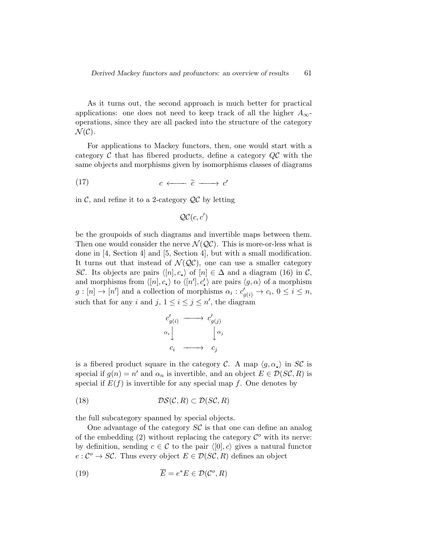As it turns out, the second approach is much better for practical applications: one does not need to keep track of all the higher  $A_{\infty}$ operations, since they are all packed into the structure of the category  $\mathcal{N}(\mathcal{C}).$ 

For applications to Mackey functors, then, one would start with a category  $\mathcal C$  that has fibered products, define a category  $\mathcal Q\mathcal C$  with the same objects and morphisms given by isomorphisms classes of diagrams

$$
(17) \t\t c \longleftarrow \tilde{c} \longrightarrow c'
$$

in  $\mathcal{C}$ , and refine it to a 2-category  $\mathcal{QC}$  by letting

$$
\mathcal{QC}(c, c')
$$

be the groupoids of such diagrams and invertible maps between them. Then one would consider the nerve  $\mathcal{N}(\mathcal{Q}\mathcal{C})$ . This is more-or-less what is done in [4, Section 4] and [5, Section 4], but with a small modification. It turns out that instead of  $\mathcal{N}(\mathcal{Q}\mathcal{C})$ , one can use a smaller category SC. Its objects are pairs  $\langle [n], c_{\bullet} \rangle$  of  $[n] \in \Delta$  and a diagram (16) in C, and morphisms from  $\langle [n], c_{\bullet} \rangle$  to  $\langle [n'], c_{\bullet}' \rangle$  are pairs  $\langle g, \alpha \rangle$  of a morphism  $g: [n] \to [n']$  and a collection of morphisms  $\alpha_i : c'_{g(i)} \to c_i, 0 \le i \le n$ , such that for any i and j,  $1 \leq i \leq j \leq n'$ , the diagram

$$
\begin{array}{ccc}\nc'_{g(i)} & \longrightarrow & c'_{g(j)} \\
\alpha_i & & \downarrow \alpha_j \\
c_i & \longrightarrow & c_j\n\end{array}
$$

is a fibered product square in the category C. A map  $\langle g, \alpha_{\bullet} \rangle$  in SC is special if  $g(n) = n'$  and  $\alpha_n$  is invertible, and an object  $E \in \mathcal{D}(S\mathcal{C}, R)$  is special if  $E(f)$  is invertible for any special map f. One denotes by

(18) 
$$
\mathcal{DS}(\mathcal{C}, R) \subset \mathcal{D}(S\mathcal{C}, R)
$$

the full subcategory spanned by special objects.

One advantage of the category  $S\mathcal{C}$  is that one can define an analog of the embedding  $(2)$  without replacing the category  $\mathcal{C}^{\circ}$  with its nerve: by definition, sending  $c \in \mathcal{C}$  to the pair  $\langle [0], c \rangle$  gives a natural functor  $e: \mathcal{C}^o \to \mathcal{SC}$ . Thus every object  $E \in \mathcal{D}(\mathcal{SC}, R)$  defines an object

(19) 
$$
\overline{E} = e^*E \in \mathcal{D}(\mathcal{C}^o, R)
$$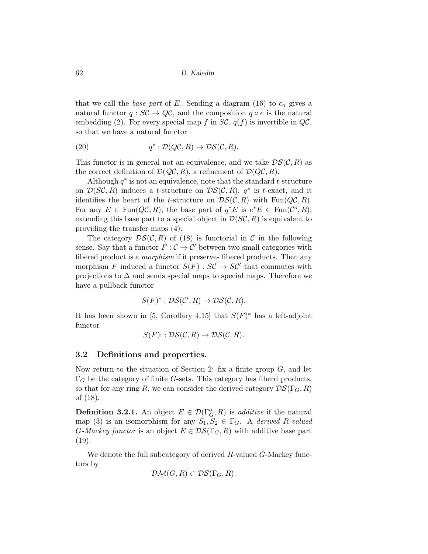that we call the base part of E. Sending a diagram  $(16)$  to  $c_n$  gives a natural functor  $q : \mathcal{SC} \to \mathcal{QC}$ , and the composition  $q \circ e$  is the natural embedding (2). For every special map f in  $SC$ ,  $q(f)$  is invertible in  $QC$ , so that we have a natural functor

(20) 
$$
q^*: \mathcal{D}(Q\mathcal{C}, R) \to \mathcal{D}\mathcal{S}(\mathcal{C}, R).
$$

This functor is in general not an equivalence, and we take  $DS(\mathcal{C}, R)$  as the correct definition of  $\mathcal{D}(\mathcal{QC}, R)$ , a refinement of  $\mathcal{D}(QC, R)$ .

Although  $q^*$  is not an equivalence, note that the standard t-structure on  $\mathcal{D}(S\mathcal{C}, R)$  induces a t-structure on  $\mathcal{DS}(\mathcal{C}, R)$ ,  $q^*$  is t-exact, and it identifies the heart of the *t*-structure on  $DS(\mathcal{C}, R)$  with Fun( $QC, R$ ). For any  $E \in \text{Fun}(Q\mathcal{C}, R)$ , the base part of  $q^*E$  is  $e^*E \in \text{Fun}(\mathcal{C}^o, R)$ ; extending this base part to a special object in  $\mathcal{D}(SC, R)$  is equivalent to providing the transfer maps (4).

The category  $DS(\mathcal{C}, R)$  of (18) is functorial in  $\mathcal{C}$  in the following sense. Say that a functor  $F: \mathcal{C} \to \mathcal{C}'$  between two small categories with fibered product is a *morphism* if it preserves fibered products. Then any morphism F induced a functor  $S(F)$ :  $SC \rightarrow SC'$  that commutes with projections to  $\Delta$  and sends special maps to special maps. Therefore we have a pullback functor

$$
S(F)^* : \mathcal{DS}(\mathcal{C}', R) \to \mathcal{DS}(\mathcal{C}, R).
$$

It has been shown in [5, Corollary 4.15] that  $S(F)^*$  has a left-adjoint functor

$$
S(F)_{!}: \mathcal{DS}(\mathcal{C}, R) \to \mathcal{DS}(\mathcal{C}, R).
$$

#### 3.2 Definitions and properties.

Now return to the situation of Section 2: fix a finite group  $G$ , and let  $\Gamma_G$  be the category of finite G-sets. This category has fiberd products, so that for any ring R, we can consider the derived category  $\mathcal{DS}(\Gamma_G, R)$ of (18).

**Definition 3.2.1.** An object  $E \in \mathcal{D}(\Gamma_G^o, R)$  is *additive* if the natural map (3) is an isomorphism for any  $S_1, S_2 \in \Gamma_G$ . A derived R-valued G-Mackey functor is an object  $E \in \mathcal{DS}(\Gamma_G, R)$  with additive base part  $(19).$ 

We denote the full subcategory of derived R-valued G-Mackey functors by

$$
\mathcal{DM}(G,R) \subset \mathcal{DS}(\Gamma_G,R).
$$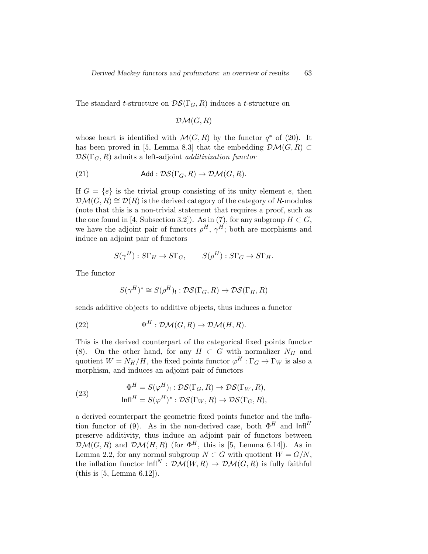The standard t-structure on  $\mathcal{DS}(\Gamma_G, R)$  induces a t-structure on

$$
\mathcal{DM}(G,R)
$$

whose heart is identified with  $\mathcal{M}(G, R)$  by the functor  $q^*$  of (20). It has been proved in [5, Lemma 8.3] that the embedding  $\mathcal{DM}(G, R) \subset$  $DS(\Gamma_G, R)$  admits a left-adjoint *additivization functor* 

(21) Add: 
$$
\mathcal{DS}(\Gamma_G, R) \to \mathcal{DM}(G, R)
$$
.

If  $G = \{e\}$  is the trivial group consisting of its unity element e, then  $\mathcal{DM}(G, R) \cong \mathcal{D}(R)$  is the derived category of the category of R-modules (note that this is a non-trivial statement that requires a proof, such as the one found in [4, Subsection 3.2]). As in (7), for any subgroup  $H \subset G$ , we have the adjoint pair of functors  $\rho^H$ ,  $\gamma^H$ ; both are morphisms and induce an adjoint pair of functors

$$
S(\gamma^H): S\Gamma_H \to S\Gamma_G, \qquad S(\rho^H): S\Gamma_G \to S\Gamma_H.
$$

The functor

$$
S(\gamma^H)^* \cong S(\rho^H)_!: \mathcal{DS}(\Gamma_G, R) \to \mathcal{DS}(\Gamma_H, R)
$$

sends additive objects to additive objects, thus induces a functor

(22) 
$$
\Psi^H : \mathcal{DM}(G, R) \to \mathcal{DM}(H, R)
$$

This is the derived counterpart of the categorical fixed points functor (8). On the other hand, for any  $H \subset G$  with normalizer  $N_H$  and quotient  $W = N_H/H$ , the fixed points functor  $\varphi^H : \Gamma_G \to \Gamma_W$  is also a morphism, and induces an adjoint pair of functors

(23) 
$$
\Phi^H = S(\varphi^H) : \mathcal{DS}(\Gamma_G, R) \to \mathcal{DS}(\Gamma_W, R),
$$

$$
\mathsf{Infl}^H = S(\varphi^H)^* : \mathcal{DS}(\Gamma_W, R) \to \mathcal{DS}(\Gamma_G, R),
$$

a derived counterpart the geometric fixed points functor and the inflation functor of (9). As in the non-derived case, both  $\Phi^H$  and  $\text{Inf}^H$ preserve additivity, thus induce an adjoint pair of functors between  $\mathcal{DM}(G,R)$  and  $\mathcal{DM}(H,R)$  (for  $\Phi^H$ , this is [5, Lemma 6.14]). As in Lemma 2.2, for any normal subgroup  $N \subset G$  with quotient  $W = G/N$ , the inflation functor  $\text{Infl}^N : \mathcal{DM}(W, R) \to \mathcal{DM}(G, R)$  is fully faithful (this is [5, Lemma 6.12]).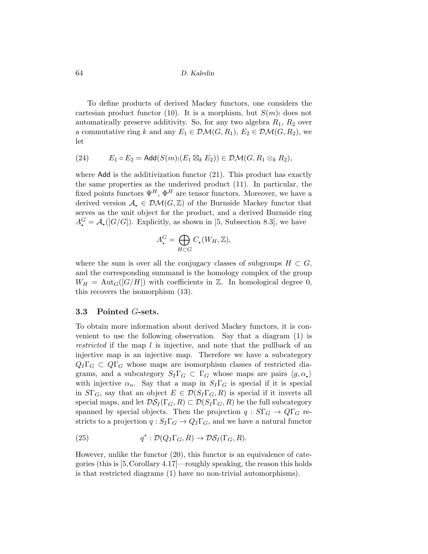To define products of derived Mackey functors, one considers the cartesian product functor (10). It is a morphism, but  $S(m)$  does not automatically preserve additivity. So, for any two algebra  $R_1, R_2$  over a commutative ring k and any  $E_1 \in \mathcal{DM}(G, R_1), E_2 \in \mathcal{DM}(G, R_2)$ , we let

(24) 
$$
E_1 \circ E_2 = \mathsf{Add}(S(m_1(E_1 \boxtimes_k E_2)) \in \mathcal{DM}(G, R_1 \otimes_k R_2),
$$

where Add is the additivization functor  $(21)$ . This product has exactly the same properties as the underived product (11). In particular, the fixed points functors  $\Psi^H$ ,  $\Phi^H$  are tensor functors. Moreover, we have a derived version  $\mathcal{A}_{\bullet} \in \mathcal{DM}(G, \mathbb{Z})$  of the Burnside Mackey functor that serves as the unit object for the product, and a derived Burnside ring  $A_{\bullet}^G = A_{\bullet}([G/G])$ . Explicitly, as shown in [5, Subsection 8.3], we have

$$
A^G_{\bullet} = \bigoplus_{H \subset G} C_{\bullet}(W_H, \mathbb{Z}),
$$

where the sum is over all the conjugacy classes of subgroups  $H \subset G$ , and the corresponding summand is the homology complex of the group  $W_H = \text{Aut}_G([G/H])$  with coefficients in Z. In homological degree 0, this recovers the isomorphism (13).

#### 3.3 Pointed G-sets.

To obtain more information about derived Mackey functors, it is convenient to use the following observation. Say that a diagram (1) is restricted if the map l is injective, and note that the pullback of an injective map is an injective map. Therefore we have a subcategory  $Q_I \Gamma_G \subset Q \Gamma_G$  whose maps are isomorphism classes of restricted diagrams, and a subcategory  $S_I \Gamma_G \subset \Gamma_G$  whose maps are pairs  $\langle g, \alpha \rangle$ with injective  $\alpha_n$ . Say that a map in  $S_I \Gamma_G$  is special if it is special in  $S\Gamma_G$ , say that an object  $E \in \mathcal{D}(S_I \Gamma_G, R)$  is special if it inverts all special maps, and let  $\mathcal{DS}_I(\Gamma_G, R) \subset \mathcal{D}(S_I \Gamma_G, R)$  be the full subcategory spanned by special objects. Then the projection  $q : S\Gamma_G \to Q\Gamma_G$  restricts to a projection  $q: S_I \Gamma_G \to Q_I \Gamma_G$ , and we have a natural functor

(25) 
$$
q^* : \mathcal{D}(Q_I \Gamma_G, R) \to \mathcal{D}\mathcal{S}_I(\Gamma_G, R).
$$

However, unlike the functor (20), this functor is an equivalence of categories (this is [5,Corollary 4.17]—roughly speaking, the reason this holds is that restricted diagrams (1) have no non-trivial automorphisms).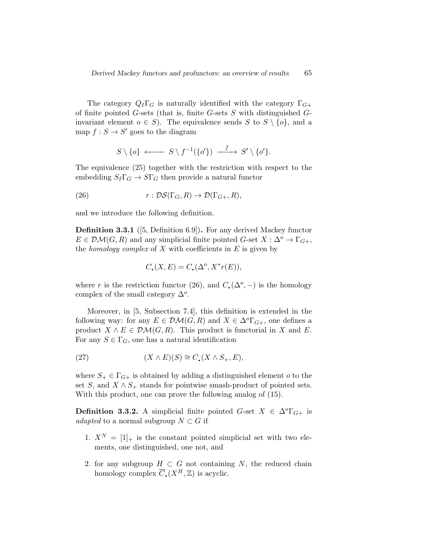The category  $Q_I \Gamma_G$  is naturally identified with the category  $\Gamma_{G+}$ of finite pointed  $G$ -sets (that is, finite  $G$ -sets  $S$  with distinguished  $G$ invariant element  $o \in S$ ). The equivalence sends S to  $S \setminus \{o\}$ , and a map  $f : S \to S'$  goes to the diagram

$$
S \setminus \{o\} \longleftarrow S \setminus f^{-1}(\{o'\}) \longrightarrow S' \setminus \{o'\}.
$$

The equivalence (25) together with the restriction with respect to the embedding  $S_I \Gamma_G \to S \Gamma_G$  then provide a natural functor

(26) 
$$
r: \mathcal{DS}(\Gamma_G, R) \to \mathcal{D}(\Gamma_{G+}, R),
$$

and we introduce the following definition.

Definition 3.3.1 ([5, Definition 6.9]). For any derived Mackey functor  $E \in \mathcal{DM}(G, R)$  and any simplicial finite pointed  $G$ -set  $X : \Delta^o \to \Gamma_{G+}$ , the *homology complex* of X with coefficients in  $E$  is given by

$$
C_{\bullet}(X,E) = C_{\bullet}(\Delta^o, X^*r(E)),
$$

where r is the restriction functor (26), and  $C_{\bullet}(\Delta^o, -)$  is the homology complex of the small category  $\Delta^o$ .

Moreover, in [5, Subsection 7.4], this definition is extended in the following way: for any  $E \in \mathcal{DM}(G, R)$  and  $X \in \Delta^o \Gamma_{G+}$ , one defines a product  $X \wedge E \in \mathcal{DM}(G, R)$ . This product is functorial in X and E. For any  $S \in \Gamma_G$ , one has a natural identification

(27) 
$$
(X \wedge E)(S) \cong C_{\bullet}(X \wedge S_+, E),
$$

where  $S_+ \in \Gamma_{G+}$  is obtained by adding a distinguished element o to the set S, and  $X \wedge S_+$  stands for pointwise smash-product of pointed sets. With this product, one can prove the following analog of (15).

**Definition 3.3.2.** A simplicial finite pointed  $G$ -set  $X \in \Delta^o \Gamma_{G^+}$  is adapted to a normal subgroup  $N \subset G$  if

- 1.  $X^N = [1]_+$  is the constant pointed simplicial set with two elements, one distinguished, one not, and
- 2. for any subgroup  $H \subset G$  not containing N, the reduced chain homology complex  $\overline{C}_{\bullet}(X^H,\mathbb{Z})$  is acyclic.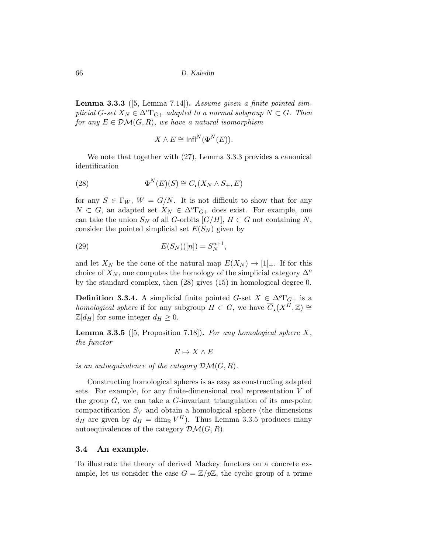**Lemma 3.3.3** ([5, Lemma 7.14]). Assume given a finite pointed simplicial G-set  $X_N \in \Delta^o\Gamma_{G^+}$  adapted to a normal subgroup  $N \subset G$ . Then for any  $E \in \mathcal{DM}(G, R)$ , we have a natural isomorphism

$$
X \wedge E \cong {\rm Infl}^N(\Phi^N(E)).
$$

We note that together with (27), Lemma 3.3.3 provides a canonical identification

(28) 
$$
\Phi^N(E)(S) \cong C_{\bullet}(X_N \wedge S_+, E)
$$

for any  $S \in \Gamma_W$ ,  $W = G/N$ . It is not difficult to show that for any  $N \subset G$ , an adapted set  $X_N \in \Delta^o \Gamma_{G^+}$  does exist. For example, one can take the union  $S_N$  of all G-orbits  $[G/H]$ ,  $H \subset G$  not containing N, consider the pointed simplicial set  $E(S_N)$  given by

(29) 
$$
E(S_N)([n]) = S_N^{n+1},
$$

and let  $X_N$  be the cone of the natural map  $E(X_N) \to [1]_+$ . If for this choice of  $X_N$ , one computes the homology of the simplicial category  $\Delta^o$ by the standard complex, then (28) gives (15) in homological degree 0.

**Definition 3.3.4.** A simplicial finite pointed  $G$ -set  $X \in \Delta^0\Gamma_{G+}$  is a *homological sphere* if for any subgroup  $H \subset G$ , we have  $\overline{C}_{\bullet}(X^H,\mathbb{Z}) \cong$  $\mathbb{Z}[d_H]$  for some integer  $d_H \geq 0$ .

**Lemma 3.3.5** ([5, Proposition 7.18]). For any homological sphere  $X$ , the functor

$$
E \mapsto X \wedge E
$$

is an autoequivalence of the category  $\mathcal{DM}(G, R)$ .

Constructing homological spheres is as easy as constructing adapted sets. For example, for any finite-dimensional real representation V of the group  $G$ , we can take a  $G$ -invariant triangulation of its one-point compactification  $S_V$  and obtain a homological sphere (the dimensions  $d_H$  are given by  $d_H = \dim_{\mathbb{R}} V^H$ ). Thus Lemma 3.3.5 produces many autoequivalences of the category  $\mathcal{DM}(G, R)$ .

### 3.4 An example.

To illustrate the theory of derived Mackey functors on a concrete example, let us consider the case  $G = \mathbb{Z}/p\mathbb{Z}$ , the cyclic group of a prime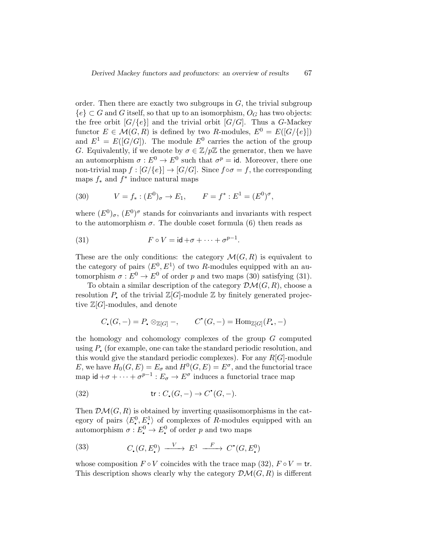order. Then there are exactly two subgroups in  $G$ , the trivial subgroup  ${e} \subset G$  and G itself, so that up to an isomorphism,  $O_G$  has two objects: the free orbit  $[G/\{e\}]$  and the trivial orbit  $[G/G]$ . Thus a G-Mackey functor  $E \in \mathcal{M}(G, R)$  is defined by two R-modules,  $E^0 = E([G/\{e\}])$ and  $E^1 = E([G/G])$ . The module  $E^0$  carries the action of the group G. Equivalently, if we denote by  $\sigma \in \mathbb{Z}/p\mathbb{Z}$  the generator, then we have an automorphism  $\sigma: E^0 \to E^0$  such that  $\sigma^p = id$ . Moreover, there one non-trivial map  $f : [G/\{e\}] \to [G/G]$ . Since  $f \circ \sigma = f$ , the corresponding maps  $f_*$  and  $f^*$  induce natural maps

(30) 
$$
V = f_* : (E^0)_{\sigma} \to E_1, \qquad F = f^* : E^1 = (E^0)^{\sigma},
$$

where  $(E^0)_{\sigma}$ ,  $(E^0)^{\sigma}$  stands for coinvariants and invariants with respect to the automorphism  $\sigma$ . The double coset formula (6) then reads as

(31) 
$$
F \circ V = \mathsf{id} + \sigma + \cdots + \sigma^{p-1}.
$$

These are the only conditions: the category  $\mathcal{M}(G, R)$  is equivalent to the category of pairs  $\langle E^0, E^1 \rangle$  of two R-modules equipped with an automorphism  $\sigma : E^0 \to E^0$  of order p and two maps (30) satisfying (31).

To obtain a similar description of the category  $\mathcal{DM}(G, R)$ , choose a resolution P, of the trivial  $\mathbb{Z}[G]$ -module  $\mathbb Z$  by finitely generated projective  $\mathbb{Z}[G]$ -modules, and denote

$$
C_{\scriptscriptstyle\bullet}(G,-)=P_{\scriptscriptstyle\bullet}\otimes_{{\mathbb Z}[G]}-, \qquad C^{\scriptscriptstyle\bullet}(G,-)={\rm Hom}_{{\mathbb Z}[G]}(P_{\scriptscriptstyle\bullet},-)
$$

the homology and cohomology complexes of the group  $G$  computed using  $P_{\bullet}$  (for example, one can take the standard periodic resolution, and this would give the standard periodic complexes). For any  $R[G]$ -module E, we have  $H_0(G, E) = E_{\sigma}$  and  $H^0(G, E) = E^{\sigma}$ , and the functorial trace map  $\mathsf{id} + \sigma + \cdots + \sigma^{p-1} : E_{\sigma} \to E^{\sigma}$  induces a functorial trace map

(32) 
$$
\operatorname{tr}: C_{\scriptscriptstyle\bullet}(G,-) \to C^{\scriptscriptstyle\bullet}(G,-).
$$

Then  $\mathcal{DM}(G, R)$  is obtained by inverting quasiisomorphisms in the category of pairs  $\langle E^0, E^1 \rangle$  of complexes of R-modules equipped with an automorphism  $\sigma: E^0_{\bullet} \to E^0_{\bullet}$  of order p and two maps

(33) 
$$
C_{\bullet}(G, E_{\bullet}^0) \xrightarrow{V} E^1 \xrightarrow{F} C^{\bullet}(G, E_{\bullet}^0)
$$

whose composition  $F \circ V$  coincides with the trace map (32),  $F \circ V = \text{tr}$ . This description shows clearly why the category  $\mathcal{DM}(G, R)$  is different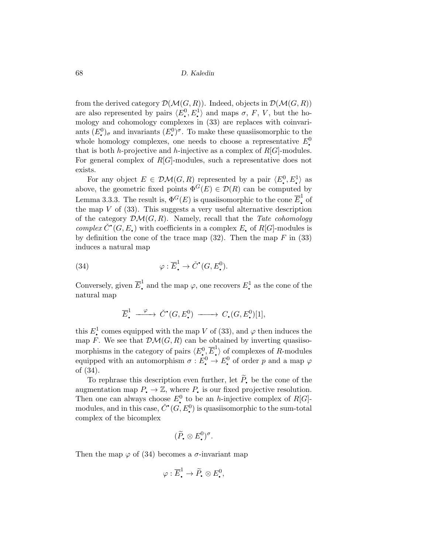from the derived category  $\mathcal{D}(\mathcal{M}(G,R))$ . Indeed, objects in  $\mathcal{D}(\mathcal{M}(G,R))$ are also represented by pairs  $\langle E^0, E^1 \rangle$  and maps  $\sigma, F, V$ , but the ho- $\overline{\phantom{a}}$ mology and cohomology complexes in (33) are replaces with coinvariants  $(E^0)_{\sigma}$  and invariants  $(E^0_{\bullet})^{\sigma}$ . To make these quasiisomorphic to the whole homology complexes, one needs to choose a representative  $E^0$ . q that is both h-projective and h-injective as a complex of  $R[G]$ -modules. For general complex of  $R[G]$ -modules, such a representative does not exists.

For any object  $E \in \mathcal{DM}(G, R)$  represented by a pair  $\langle E_{\bullet}^0, E_{\bullet}^1 \rangle$  as  $\overline{\phantom{a}}$ above, the geometric fixed points  $\Phi^G(E) \in \mathcal{D}(R)$  can be computed by Lemma 3.3.3. The result is,  $\Phi^G(E)$  is quasiisomorphic to the cone  $\overline{E}^1$  of the map  $V$  of  $(33)$ . This suggests a very useful alternative description of the category  $\mathcal{DM}(G, R)$ . Namely, recall that the Tate cohomology complex  $\check{C}^{\bullet}(G, E_{\bullet})$  with coefficients in a complex  $E_{\bullet}$  of  $R[G]$ -modules is by definition the cone of the trace map  $(32)$ . Then the map F in  $(33)$ induces a natural map

(34) 
$$
\varphi : \overline{E}^1_* \to \check{C}^{\bullet}(G, E^0_*)
$$

Conversely, given  $\overline{E}_\bullet^1$  and the map  $\varphi$ , one recovers  $E_\bullet^1$  as the cone of the natural map

$$
\overline{E}^1_{\scriptscriptstyle\bullet} \xrightarrow{\varphi} \check{C}^{\scriptscriptstyle\bullet}(G,E^0_{\scriptscriptstyle\bullet}) \xrightarrow{\qquad} C_{\scriptscriptstyle\bullet}(G,E^0_{\scriptscriptstyle\bullet})[1],
$$

this  $E^1$  comes equipped with the map V of (33), and  $\varphi$  then induces the map F. We see that  $\mathcal{DM}(G, R)$  can be obtained by inverting quasiisomorphisms in the category of pairs  $\langle E_{\bullet}^0, \overline{E}_{\bullet}^1 \rangle$  of complexes of R-modules equipped with an automorphism  $\sigma : E^0$   $\to E^0$  of order p and a map  $\varphi$ of (34).

To rephrase this description even further, let  $\widetilde{P}_r$  be the cone of the augmentation map  $P_{\bullet} \to \mathbb{Z}$ , where  $P_{\bullet}$  is our fixed projective resolution. Then one can always choose  $E^0$  to be an *h*-injective complex of  $R[G]$ modules, and in this case,  $\check{C}^{\bullet}(G, E^0)$  is quasiisomorphic to the sum-total complex of the bicomplex

$$
(\widetilde{P}_{\bullet} \otimes E^0_{\bullet})^{\sigma}.
$$

Then the map  $\varphi$  of (34) becomes a  $\sigma$ -invariant map

$$
\varphi : \overline{E}_{\bullet}^{1} \to \widetilde{P}_{\bullet} \otimes E_{\bullet}^{0},
$$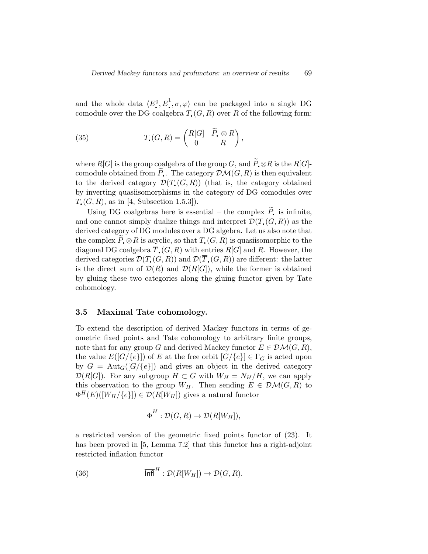and the whole data  $\langle E_1^0, \overline{E}_1^1, \sigma, \varphi \rangle$  can be packaged into a single DG q q comodule over the DG coalgebra  $T_{\epsilon}(G, R)$  over R of the following form:

(35) 
$$
T_{\bullet}(G,R) = \begin{pmatrix} R[G] & \widetilde{P}_{\bullet} \otimes R \\ 0 & R \end{pmatrix},
$$

where  $R[G]$  is the group coalgebra of the group  $G$ , and  $\widetilde{P}_\bullet \otimes R$  is the  $R[G]$ comodule obtained from  $\widetilde{P}_\bullet$ . The category  $\mathcal{DM}(G, R)$  is then equivalent to the derived category  $\mathcal{D}(T_{\bullet}(G,R))$  (that is, the category obtained by inverting quasiisomorphisms in the category of DG comodules over  $T_{\bullet}(G, R)$ , as in [4, Subsection 1.5.3]).

Using DG coalgebras here is essential – the complex  $\widetilde{P}_{\:\raisebox{1pt}{\text{\circle*{1.5}}}}$  is infinite, and one cannot simply dualize things and interpret  $\mathcal{D}(T_{\bullet}(G, R))$  as the derived category of DG modules over a DG algebra. Let us also note that the complex  $P \otimes R$  is acyclic, so that  $T \circ (G, R)$  is quasiisomorphic to the diagonal DG coalgebra  $\overline{T}_{\bullet}(G, R)$  with entries  $R[G]$  and R. However, the derived categories  $\mathcal{D}(T_{\bullet}(G,R))$  and  $\mathcal{D}(\overline{T}_{\bullet}(G,R))$  are different: the latter is the direct sum of  $\mathcal{D}(R)$  and  $\mathcal{D}(R[G])$ , while the former is obtained by gluing these two categories along the gluing functor given by Tate cohomology.

### 3.5 Maximal Tate cohomology.

To extend the description of derived Mackey functors in terms of geometric fixed points and Tate cohomology to arbitrary finite groups, note that for any group G and derived Mackey functor  $E \in \mathcal{DM}(G, R)$ , the value  $E([G/\{e\}])$  of E at the free orbit  $[G/\{e\}] \in \Gamma_G$  is acted upon by  $G = \text{Aut}_G([G/\{e\}])$  and gives an object in the derived category  $\mathcal{D}(R[G])$ . For any subgroup  $H \subset G$  with  $W_H = N_H/H$ , we can apply this observation to the group  $W_H$ . Then sending  $E \in \mathcal{DM}(G,R)$  to  $\Phi^H(E)([W_H/\{e\}]) \in \mathcal{D}(R[W_H])$  gives a natural functor

$$
\overline{\Phi}^H : \mathcal{D}(G,R) \to \mathcal{D}(R[W_H]),
$$

a restricted version of the geometric fixed points functor of (23). It has been proved in [5, Lemma 7.2] that this functor has a right-adjoint restricted inflation functor

(36) 
$$
\overline{\ln fl}^H : \mathcal{D}(R[W_H]) \to \mathcal{D}(G,R).
$$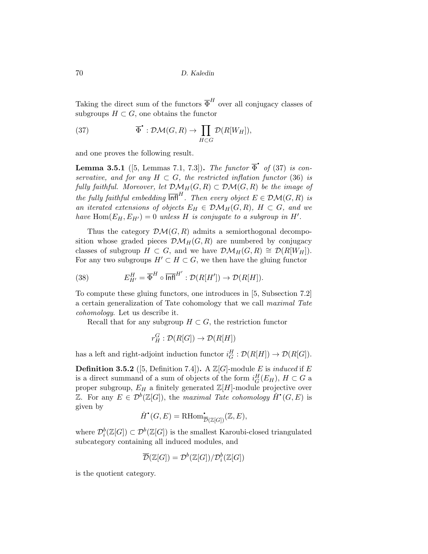Taking the direct sum of the functors  $\overline{\Phi}^H$  over all conjugacy classes of subgroups  $H \subset G$ , one obtains the functor

(37) 
$$
\overline{\Phi}^{\bullet}: \mathcal{DM}(G,R) \to \prod_{H \subset G} \mathcal{D}(R[W_H]),
$$

and one proves the following result.

**Lemma 3.5.1** ([5, Lemmas 7.1, 7.3]). The functor  $\overline{\Phi}$  of (37) is con- $\overline{\phantom{a}}$ servative, and for any  $H \subset G$ , the restricted inflation functor (36) is fully faithful. Moreover, let  $\mathcal{DM}_H(G, R) \subset \mathcal{DM}(G, R)$  be the image of the fully faithful embedding  $\overline{\mathsf{Infl}}^H$ . Then every object  $E \in \mathcal{DM}(G,R)$  is an iterated extensions of objects  $E_H \in \mathcal{DM}_H(G, R)$ ,  $H \subset G$ , and we have  $\text{Hom}(E_H, E_{H'}) = 0$  unless H is conjugate to a subgroup in H'.

Thus the category  $\mathcal{DM}(G, R)$  admits a semiorthogonal decomposition whose graded pieces  $\mathcal{DM}_H(G, R)$  are numbered by conjugacy classes of subgroup  $H \subset G$ , and we have  $\mathcal{DM}_H(G,R) \cong \mathcal{D}(R[W_H]).$ For any two subgroups  $H' \subset H \subset G$ , we then have the gluing functor

(38) 
$$
E_{H'}^H = \overline{\Phi}^H \circ \overline{\ln \mathsf{H}}^{H'} : \mathcal{D}(R[H']) \to \mathcal{D}(R[H]).
$$

To compute these gluing functors, one introduces in [5, Subsection 7.2] a certain generalization of Tate cohomology that we call maximal Tate cohomology. Let us describe it.

Recall that for any subgroup  $H \subset G$ , the restriction functor

$$
r_H^G: \mathcal{D}(R[G]) \to \mathcal{D}(R[H])
$$

has a left and right-adjoint induction functor  $i_G^H : \mathcal{D}(R[H]) \to \mathcal{D}(R[G])$ .

**Definition 3.5.2** ([5, Definition 7.4]). A  $\mathbb{Z}[G]$ -module E is *induced* if E is a direct summand of a sum of objects of the form  $i_G^H(E_H)$ ,  $H \subset G$  a proper subgroup,  $E_H$  a finitely generated  $\mathbb{Z}[H]$ -module projective over  $\mathbb{Z}$ . For any  $E \in \mathcal{D}^b(\mathbb{Z}[G])$ , the maximal Tate cohomology  $\check{H}^{\bullet}(G,E)$  is given by

$$
\check{H}^{\bullet}(G, E) = \mathrm{RHom}^{\bullet}_{\overline{\mathcal{D}}(\mathbb{Z}[G])}(\mathbb{Z}, E),
$$

where  $\mathcal{D}_{i}^{b}(\mathbb{Z}[G]) \subset \mathcal{D}^{b}(\mathbb{Z}[G])$  is the smallest Karoubi-closed triangulated subcategory containing all induced modules, and

$$
\overline{\mathcal{D}}(\mathbb{Z}[G]) = \mathcal{D}^b(\mathbb{Z}[G]) / \mathcal{D}_i^b(\mathbb{Z}[G])
$$

is the quotient category.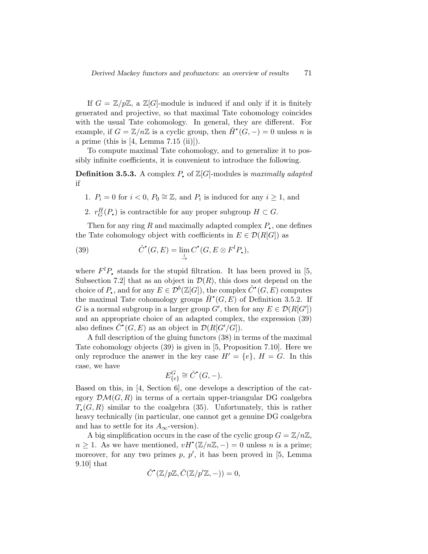If  $G = \mathbb{Z}/p\mathbb{Z}$ , a  $\mathbb{Z}[G]$ -module is induced if and only if it is finitely generated and projective, so that maximal Tate cohomology coincides with the usual Tate cohomology. In general, they are different. For example, if  $G = \mathbb{Z}/n\mathbb{Z}$  is a cyclic group, then  $\check{H}^{\bullet}(G, -) = 0$  unless n is  $\ddot{\phantom{0}}$ a prime (this is  $[4, \text{Lemma } 7.15 \text{ (ii)}].$ 

To compute maximal Tate cohomology, and to generalize it to possibly infinite coefficients, it is convenient to introduce the following.

**Definition 3.5.3.** A complex P of  $\mathbb{Z}[G]$ -modules is maximally adapted if

- 1.  $P_i = 0$  for  $i < 0$ ,  $P_0 \cong \mathbb{Z}$ , and  $P_i$  is induced for any  $i \ge 1$ , and
- 2.  $r_G^H(P_{\bullet})$  is contractible for any proper subgroup  $H \subset G$ .

Then for any ring  $R$  and maximally adapted complex  $P_{\bullet}$ , one defines the Tate cohomology object with coefficients in  $E \in \mathcal{D}(R[G])$  as

(39) 
$$
\check{C}^{\bullet}(G,E) = \lim_{\substack{l}} C^{\bullet}(G, E \otimes F^l P_{\bullet}),
$$

where  $F^l P$ , stands for the stupid filtration. It has been proved in [5, Subsection 7.2 that as an object in  $\mathcal{D}(R)$ , this does not depend on the choice of P,, and for any  $E \in \mathcal{D}^b(\mathbb{Z}[G])$ , the complex  $\check{C}^\bullet(G, E)$  computes the maximal Tate cohomology groups  $\check{H}^{\bullet}(G, E)$  of Definition 3.5.2. If G is a normal subgroup in a larger group G', then for any  $E \in \mathcal{D}(R[G'])$ and an appropriate choice of an adapted complex, the expression (39) also defines  $\check{C}^{\bullet}(G, E)$  as an object in  $\mathcal{D}(R[G'/G]).$ 

A full description of the gluing functors (38) in terms of the maximal Tate cohomology objects (39) is given in [5, Proposition 7.10]. Here we only reproduce the answer in the key case  $H' = \{e\}, H = G$ . In this case, we have

$$
E_{\{e\}}^G \cong \check{C}^\bullet(G, -).
$$

Based on this, in [4, Section 6], one develops a description of the category  $\mathcal{DM}(G, R)$  in terms of a certain upper-triangular DG coalgebra  $T_{\bullet}(G, R)$  similar to the coalgebra (35). Unfortunately, this is rather heavy technically (in particular, one cannot get a genuine DG coalgebra and has to settle for its  $A_{\infty}$ -version).

A big simplification occurs in the case of the cyclic group  $G = \mathbb{Z}/n\mathbb{Z}$ ,  $n \geq 1$ . As we have mentioned,  $vH^{\bullet}(\mathbb{Z}/n\mathbb{Z},-) = 0$  unless n is a prime; moreover, for any two primes  $p, p'$ , it has been proved in [5, Lemma 9.10] that

$$
\check{C}^{\bullet}(\mathbb{Z}/p\mathbb{Z}, \check{C}(\mathbb{Z}/p'\mathbb{Z}, -)) = 0,
$$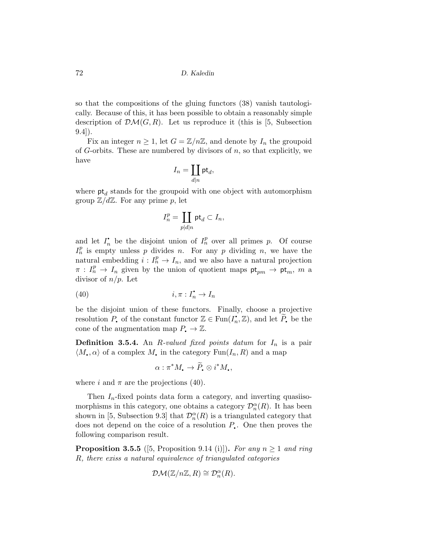so that the compositions of the gluing functors (38) vanish tautologically. Because of this, it has been possible to obtain a reasonably simple description of  $\mathcal{DM}(G, R)$ . Let us reproduce it (this is [5, Subsection 9.4]).

Fix an integer  $n \geq 1$ , let  $G = \mathbb{Z}/n\mathbb{Z}$ , and denote by  $I_n$  the groupoid of G-orbits. These are numbered by divisors of  $n$ , so that explicitly, we have

$$
I_n=\coprod_{d|n}\mathsf{pt}_d,
$$

where  $pt_d$  stands for the groupoid with one object with automorphism group  $\mathbb{Z}/d\mathbb{Z}$ . For any prime p, let

$$
I_n^p=\coprod_{p|d|n}\mathsf{pt}_d\subset I_n,
$$

and let  $I_n^{\bullet}$  be the disjoint union of  $I_n^p$  over all primes p. Of course  $I_n^p$  is empty unless p divides n. For any p dividing n, we have the natural embedding  $i: I_n^p \to I_n$ , and we also have a natural projection  $\pi: I_n^p \to I_n$  given by the union of quotient maps  $pt_{pm} \to pt_m$ , m a divisor of  $n/p$ . Let

$$
(40) \t\t i, \pi: I_n^{\bullet} \to I_n
$$

be the disjoint union of these functors. Finally, choose a projective resolution P, of the constant functor  $\mathbb{Z} \in \text{Fun}(I_n^{\bullet}, \mathbb{Z})$ , and let  $\widetilde{P}_n$  be the cone of the augmentation map  $P_{\bullet} \to \mathbb{Z}$ .

**Definition 3.5.4.** An R-valued fixed points datum for  $I_n$  is a pair  $\langle M, \alpha \rangle$  of a complex M, in the category Fun $(I_n, R)$  and a map

$$
\alpha: \pi^*M_{\scriptscriptstyle\bullet} \to \widetilde{P}_{\scriptscriptstyle\bullet} \otimes i^*M_{\scriptscriptstyle\bullet},
$$

where i and  $\pi$  are the projections (40).

Then  $I_n$ -fixed points data form a category, and inverting quasiisomorphisms in this category, one obtains a category  $\mathcal{D}_{n}^{\alpha}(R)$ . It has been shown in [5, Subsection 9.3] that  $\mathcal{D}_{n}^{\alpha}(R)$  is a triangulated category that does not depend on the coice of a resolution  $P_{\bullet}$ . One then proves the following comparison result.

**Proposition 3.5.5** ([5, Proposition 9.14 (i)]). For any  $n \ge 1$  and ring R, there exiss a natural equivalence of triangulated categories

$$
\mathcal{DM}(\mathbb{Z}/n\mathbb{Z}, R) \cong \mathcal{D}_n^{\alpha}(R).
$$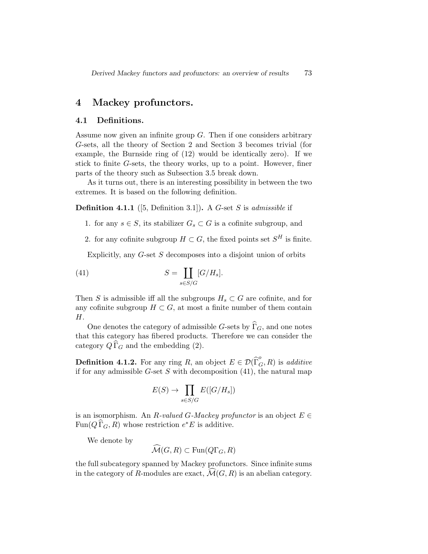### 4 Mackey profunctors.

#### 4.1 Definitions.

Assume now given an infinite group  $G$ . Then if one considers arbitrary G-sets, all the theory of Section 2 and Section 3 becomes trivial (for example, the Burnside ring of (12) would be identically zero). If we stick to finite G-sets, the theory works, up to a point. However, finer parts of the theory such as Subsection 3.5 break down.

As it turns out, there is an interesting possibility in between the two extremes. It is based on the following definition.

**Definition 4.1.1** ([5, Definition 3.1]). A G-set S is *admissible* if

- 1. for any  $s \in S$ , its stabilizer  $G_s \subset G$  is a cofinite subgroup, and
- 2. for any cofinite subgroup  $H \subset G$ , the fixed points set  $S^H$  is finite.

Explicitly, any G-set S decomposes into a disjoint union of orbits

(41) 
$$
S = \coprod_{s \in S/G} [G/H_s].
$$

Then S is admissible iff all the subgroups  $H_s \subset G$  are cofinite, and for any cofinite subgroup  $H \subset G$ , at most a finite number of them contain H.

One denotes the category of admissible G-sets by  $\widehat{\Gamma}_{G}$ , and one notes that this category has fibered products. Therefore we can consider the category  $Q\Gamma_G$  and the embedding (2).

**Definition 4.1.2.** For any ring R, an object  $E \in \mathcal{D}(\widehat{\Gamma}_G^o, R)$  is *additive* if for any admissible  $G$ -set S with decomposition  $(41)$ , the natural map

$$
E(S) \to \prod_{s \in S/G} E([G/H_s])
$$

is an isomorphism. An R-valued G-Mackey profunctor is an object  $E \in$  $\text{Fun}(Q \, \widehat{\Gamma}_G, R)$  whose restriction  $e^*E$  is additive.

We denote by

$$
\widehat{\mathcal{M}}(G,R) \subset \operatorname{Fun}(Q\Gamma_G,R)
$$

the full subcategory spanned by Mackey profunctors. Since infinite sums in the category of R-modules are exact,  $\mathcal{M}(G, R)$  is an abelian category.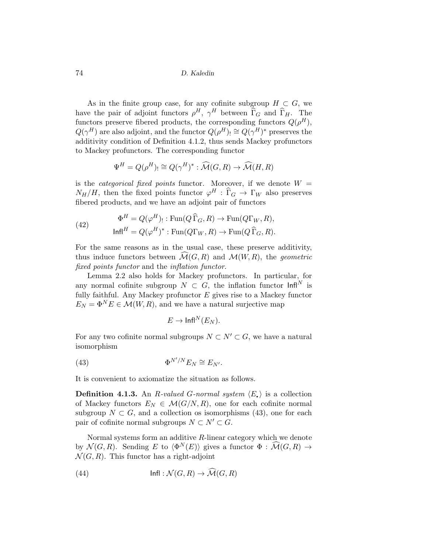As in the finite group case, for any cofinite subgroup  $H \subset G$ , we have the pair of adjoint functors  $\rho^H$ ,  $\gamma^H$  between  $\widehat{\Gamma}_G$  and  $\widehat{\Gamma}_H$ . The functors preserve fibered products, the corresponding functors  $Q(\rho^H)$ ,  $Q(\gamma^H)$  are also adjoint, and the functor  $Q(\rho^H)$ ,  $\cong Q(\gamma^H)^*$  preserves the additivity condition of Definition 4.1.2, thus sends Mackey profunctors to Mackey profunctors. The corresponding functor

$$
\Psi^H = Q(\rho^H) \cong Q(\gamma^H)^* : \widehat{\mathcal{M}}(G,R) \to \widehat{\mathcal{M}}(H,R)
$$

is the *categorical fixed points* functor. Moreover, if we denote  $W =$  $N_H/H$ , then the fixed points functor  $\varphi^H : \widehat{\Gamma}_G \to \Gamma_W$  also preserves fibered products, and we have an adjoint pair of functors

(42) 
$$
\Phi^H = Q(\varphi^H) \text{ : } \text{Fun}(Q\widehat{\Gamma}_G, R) \to \text{Fun}(Q\Gamma_W, R),
$$

$$
\text{Infl}^H = Q(\varphi^H)^* \text{ : } \text{Fun}(Q\Gamma_W, R) \to \text{Fun}(Q\widehat{\Gamma}_G, R).
$$

For the same reasons as in the usual case, these preserve additivity, thus induce functors between  $\widehat{\mathcal{M}}(G,R)$  and  $\mathcal{M}(W,R)$ , the *geometric* fixed points functor and the inflation functor.

Lemma 2.2 also holds for Mackey profunctors. In particular, for any normal cofinite subgroup  $N \subset G$ , the inflation functor  $\text{Infl}^N$  is fully faithful. Any Mackey profunctor  $E$  gives rise to a Mackey functor  $E_N = \Phi^N E \in \mathcal{M}(W, R)$ , and we have a natural surjective map

$$
E\to \mathsf{Infl}^N(E_N).
$$

For any two cofinite normal subgroups  $N \subset N' \subset G$ , we have a natural isomorphism

(43) 
$$
\Phi^{N'/N} E_N \cong E_{N'}.
$$

It is convenient to axiomatize the situation as follows.

**Definition 4.1.3.** An R-valued G-normal system  $\langle E_{\bullet} \rangle$  is a collection of Mackey functors  $E_N \in \mathcal{M}(G/N, R)$ , one for each cofinite normal subgroup  $N \subset G$ , and a collection os isomorphisms (43), one for each pair of cofinite normal subgroups  $N \subset N' \subset G$ .

Normal systems form an additive R-linear category which we denote by  $\mathcal{N}(G, R)$ . Sending E to  $\langle \Phi^N(E) \rangle$  gives a functor  $\Phi : \mathcal{M}(G, R) \to$  $\mathcal{N}(G, R)$ . This functor has a right-adjoint

(44) 
$$
\mathsf{Infl}: \mathcal{N}(G,R) \to \mathcal{M}(G,R)
$$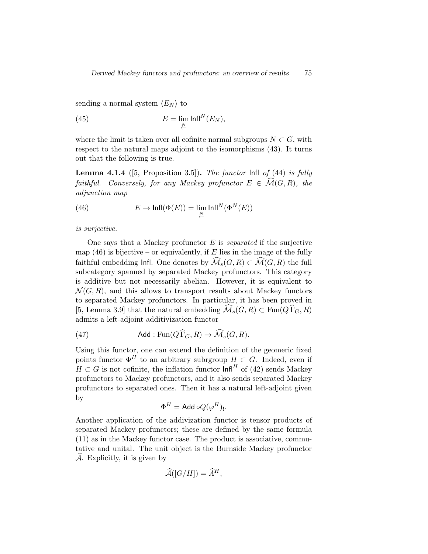sending a normal system  $\langle E_N \rangle$  to

(45) 
$$
E = \lim_{N \to \infty} \ln \ln N(E_N),
$$

where the limit is taken over all cofinite normal subgroups  $N \subset G$ , with respect to the natural maps adjoint to the isomorphisms (43). It turns out that the following is true.

**Lemma 4.1.4** ([5, Proposition 3.5]). The functor  $\text{Infl}$  of (44) is fully faithful. Conversely, for any Mackey profunctor  $E \in \widehat{\mathcal{M}}(G,R)$ , the adjunction map

(46) 
$$
E \to \text{Infl}(\Phi(E)) = \lim_{\underset{\longleftarrow}{\leftarrow}} \text{Infl}^N(\Phi^N(E))
$$

is surjective.

One says that a Mackey profunctor  $E$  is separated if the surjective map (46) is bijective – or equivalently, if  $E$  lies in the image of the fully faithful embedding Infl. One denotes by  $\widehat{\mathcal{M}}_s(G,R) \subset \widehat{\mathcal{M}}(G,R)$  the full subcategory spanned by separated Mackey profunctors. This category is additive but not necessarily abelian. However, it is equivalent to  $\mathcal{N}(G, R)$ , and this allows to transport results about Mackey functors to separated Mackey profunctors. In particular, it has been proved in [5, Lemma 3.9] that the natural embedding  $\mathcal{M}_s(G, R) \subset \text{Fun}(Q \, \widehat{\Gamma}_G, R)$ admits a left-adjoint additivization functor

(47) Add: 
$$
\text{Fun}(Q\Gamma_G, R) \to \mathcal{M}_s(G, R)
$$
.

Using this functor, one can extend the definition of the geomeric fixed points functor  $\Phi^{H}$  to an arbitrary subrgroup  $H \subset G$ . Indeed, even if  $H \subset G$  is not cofinite, the inflation functor  $\text{Infl}^H$  of (42) sends Mackey profunctors to Mackey profunctors, and it also sends separated Mackey profunctors to separated ones. Then it has a natural left-adjoint given by

$$
\Phi^H = \mathsf{Add}\circ Q(\varphi^H)_!.
$$

Another application of the addivization functor is tensor products of separated Mackey profunctors; these are defined by the same formula (11) as in the Mackey functor case. The product is associative, commutative and unital. The unit object is the Burnside Mackey profunctor  $\mathcal A$ . Explicitly, it is given by

$$
\widehat{\mathcal{A}}([G/H]) = \widehat{A}^H,
$$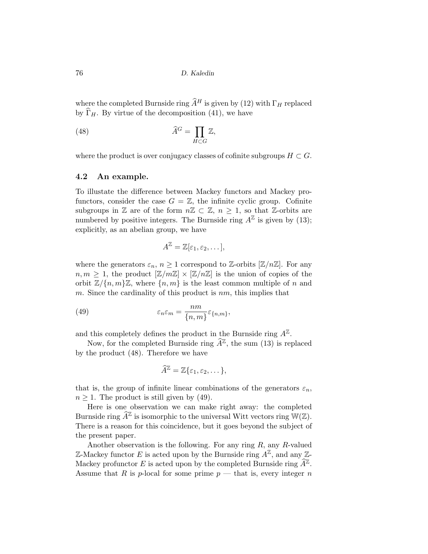where the completed Burnside ring  $\widehat{A}^H$  is given by (12) with  $\Gamma_H$  replaced by  $\widehat{\Gamma}_H$ . By virtue of the decomposition (41), we have

(48) 
$$
\widehat{A}^G = \prod_{H \subset G} \mathbb{Z},
$$

where the product is over conjugacy classes of cofinite subgroups  $H \subset G$ .

### 4.2 An example.

To illustate the difference between Mackey functors and Mackey profunctors, consider the case  $G = \mathbb{Z}$ , the infinite cyclic group. Cofinite subgroups in  $\mathbb Z$  are of the form  $n\mathbb Z \subset \mathbb Z$ ,  $n \geq 1$ , so that  $\mathbb Z$ -orbits are numbered by positive integers. The Burnside ring  $A^{\mathbb{Z}}$  is given by (13); explicitly, as an abelian group, we have

$$
A^{\mathbb{Z}} = \mathbb{Z}[\varepsilon_1, \varepsilon_2, \dots],
$$

where the generators  $\varepsilon_n$ ,  $n \geq 1$  correspond to Z-orbits  $[\mathbb{Z}/n\mathbb{Z}]$ . For any  $n, m \geq 1$ , the product  $[\mathbb{Z}/m\mathbb{Z}] \times [\mathbb{Z}/n\mathbb{Z}]$  is the union of copies of the orbit  $\mathbb{Z}/\{n,m\}\mathbb{Z}$ , where  $\{n,m\}$  is the least common multiple of n and m. Since the cardinality of this product is  $nm$ , this implies that

(49) 
$$
\varepsilon_n \varepsilon_m = \frac{nm}{\{n,m\}} \varepsilon_{\{n,m\}},
$$

and this completely defines the product in the Burnside ring  $A^{\mathbb{Z}}$ .

Now, for the completed Burnside ring  $\widehat{A}^{\mathbb{Z}}$ , the sum (13) is replaced by the product (48). Therefore we have

$$
\widehat{A}^{\mathbb{Z}} = \mathbb{Z}\{\varepsilon_1, \varepsilon_2, \dots\},\
$$

that is, the group of infinite linear combinations of the generators  $\varepsilon_n$ ,  $n \geq 1$ . The product is still given by (49).

Here is one observation we can make right away: the completed Burnside ring  $\widehat{A}^{\mathbb{Z}}$  is isomorphic to the universal Witt vectors ring  $\mathbb{W}(\mathbb{Z})$ . There is a reason for this coincidence, but it goes beyond the subject of the present paper.

Another observation is the following. For any ring  $R$ , any  $R$ -valued Z-Mackey functor E is acted upon by the Burnside ring  $A^{\mathbb{Z}}$ , and any Z-Mackey profunctor E is acted upon by the completed Burnside ring  $\widehat{A}^{\mathbb{Z}}$ . Assume that R is p-local for some prime  $p$  — that is, every integer n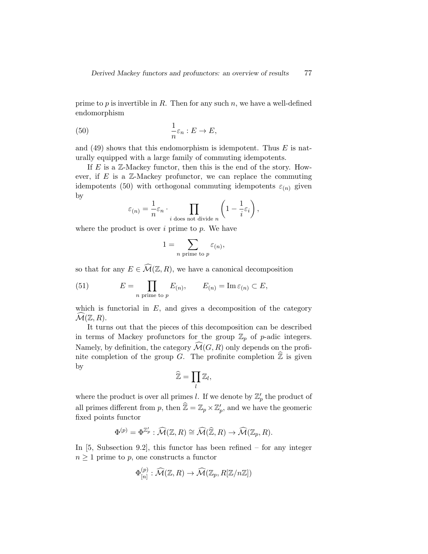prime to  $p$  is invertible in  $R$ . Then for any such  $n$ , we have a well-defined endomorphism

(50) 
$$
\frac{1}{n}\varepsilon_n : E \to E,
$$

and  $(49)$  shows that this endomorphism is idempotent. Thus E is naturally equipped with a large family of commuting idempotents.

If  $E$  is a  $\mathbb{Z}$ -Mackey functor, then this is the end of the story. However, if  $E$  is a  $\mathbb{Z}$ -Mackey profunctor, we can replace the commuting idempotents (50) with orthogonal commuting idempotents  $\varepsilon_{(n)}$  given by

$$
\varepsilon_{(n)} = \frac{1}{n} \varepsilon_n \cdot \prod_{i \text{ does not divide } n} \left( 1 - \frac{1}{i} \varepsilon_i \right),
$$

where the product is over  $i$  prime to  $p$ . We have

$$
1 = \sum_{n \text{ prime to } p} \varepsilon_{(n)},
$$

so that for any  $E \in \widehat{\mathcal{M}}(\mathbb{Z}, R)$ , we have a canonical decomposition

(51) 
$$
E = \prod_{n \text{ prime to } p} E_{(n)}, \qquad E_{(n)} = \text{Im } \varepsilon_{(n)} \subset E,
$$

which is functorial in  $E$ , and gives a decomposition of the category  $\mathcal{M}(\mathbb{Z}, R)$ .

It turns out that the pieces of this decomposition can be described in terms of Mackey profunctors for the group  $\mathbb{Z}_p$  of p-adic integers. Namely, by definition, the category  $\widehat{\mathcal{M}}(G, R)$  only depends on the profinite completion of the group G. The profinite completion  $\mathbb Z$  is given by

$$
\widehat{\mathbb{Z}} = \prod_l \mathbb{Z}_l,
$$

where the product is over all primes l. If we denote by  $\mathbb{Z}_p'$  the product of all primes different from p, then  $\hat{\mathbb{Z}} = \mathbb{Z}_p \times \mathbb{Z}'_p$ , and we have the geomeric fixed points functor

$$
\Phi^{(p)} = \Phi^{\mathbb{Z}'_p} : \widehat{\mathcal{M}}(\mathbb{Z}, R) \cong \widehat{\mathcal{M}}(\widehat{\mathbb{Z}}, R) \to \widehat{\mathcal{M}}(\mathbb{Z}_p, R).
$$

In [5, Subsection 9.2], this functor has been refined – for any integer  $n \geq 1$  prime to p, one constructs a functor

$$
\Phi_{[n]}^{(p)} : \widehat{\mathcal{M}}(\mathbb{Z}, R) \to \widehat{\mathcal{M}}(\mathbb{Z}_p, R[\mathbb{Z}/n\mathbb{Z}])
$$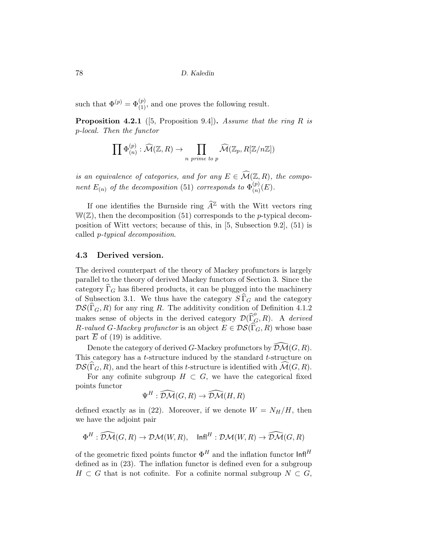such that  $\Phi^{(p)} = \Phi^{(p)}_{(1)}$ , and one proves the following result.

**Proposition 4.2.1** ([5, Proposition 9.4]). Assume that the ring R is p-local. Then the functor

$$
\prod \Phi_{(n)}^{(p)} : \widehat{\mathcal{M}}(\mathbb{Z}, R) \to \prod_{n \text{ prime to } p} \widehat{\mathcal{M}}(\mathbb{Z}_p, R[\mathbb{Z}/n\mathbb{Z}])
$$

is an equivalence of categories, and for any  $E \in \widehat{\mathcal{M}}(\mathbb{Z},R)$ , the component  $E_{(n)}$  of the decomposition (51) corresponds to  $\Phi_{(n)}^{(p)}$  $\binom{p}{n}(E).$ 

If one identifies the Burnside ring  $\widehat{A}^{\mathbb{Z}}$  with the Witt vectors ring  $W(\mathbb{Z})$ , then the decomposition (51) corresponds to the *p*-typical decomposition of Witt vectors; because of this, in [5, Subsection 9.2], (51) is called p-typical decomposition.

#### 4.3 Derived version.

The derived counterpart of the theory of Mackey profunctors is largely parallel to the theory of derived Mackey functors of Section 3. Since the category  $\Gamma_G$  has fibered products, it can be plugged into the machinery of Subsection 3.1. We thus have the category  $S\Gamma_G$  and the category  $DS(\widehat{\Gamma}_{G}, R)$  for any ring R. The additivity condition of Definition 4.1.2 makes sense of objects in the derived category  $\mathcal{D}(\widehat{\Gamma}_{G}^{o}, R)$ . A derived R-valued G-Mackey profunctor is an object  $E \in \mathcal{DS}(\widehat{\Gamma}_G, R)$  whose base part  $E$  of (19) is additive.

Denote the category of derived G-Mackey profunctors by  $\widehat{\mathcal{DM}}(G, R)$ . This category has a *t*-structure induced by the standard *t*-structure on  $DS(\widehat{\Gamma}_{G}, R)$ , and the heart of this t-structure is identified with  $\widehat{\mathcal{M}}(G, R)$ .

For any cofinite subgroup  $H \subset G$ , we have the categorical fixed points functor

$$
\Psi^H : \widehat{\mathcal{DM}}(G, R) \to \widehat{\mathcal{DM}}(H, R)
$$

defined exactly as in (22). Moreover, if we denote  $W = N_H/H$ , then we have the adjoint pair

$$
\Phi^H: \widehat{\mathcal{DM}}(G,R) \to \mathcal{DM}(W,R), \quad \text{Infl}^H: \mathcal{DM}(W,R) \to \widehat{\mathcal{DM}}(G,R)
$$

of the geometric fixed points functor  $\Phi^H$  and the inflation functor  $\text{Infl}^H$ defined as in (23). The inflation functor is defined even for a subgroup  $H \subset G$  that is not cofinite. For a cofinite normal subgroup  $N \subset G$ ,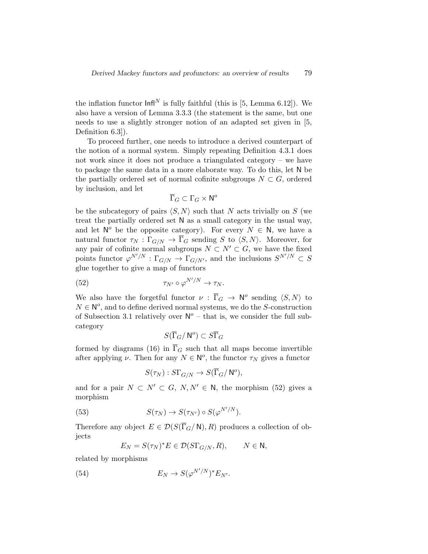the inflation functor  $\text{Infl}^N$  is fully faithful (this is [5, Lemma 6.12]). We also have a version of Lemma 3.3.3 (the statement is the same, but one needs to use a slightly stronger notion of an adapted set given in [5, Definition 6.3]).

To proceed further, one needs to introduce a derived counterpart of the notion of a normal system. Simply repeating Definition 4.3.1 does not work since it does not produce a triangulated category – we have to package the same data in a more elaborate way. To do this, let N be the partially ordered set of normal cofinite subgroups  $N \subset G$ , ordered by inclusion, and let

$$
\overline{\Gamma}_G\subset \Gamma_G\times {\mathsf N}^o
$$

be the subcategory of pairs  $\langle S, N \rangle$  such that N acts trivially on S (we treat the partially ordered set N as a small category in the usual way, and let  $N^o$  be the opposite category). For every  $N \in N$ , we have a natural functor  $\tau_N : \Gamma_{G/N} \to \overline{\Gamma}_G$  sending S to  $\langle S, N \rangle$ . Moreover, for any pair of cofinite normal subgroups  $N \subset N' \subset G$ , we have the fixed points functor  $\varphi^{N'/N} : \Gamma_{G/N} \to \Gamma_{G/N'}$ , and the inclusions  $S^{N'/N} \subset S$ glue together to give a map of functors

(52) 
$$
\tau_{N'} \circ \varphi^{N'/N} \to \tau_N.
$$

We also have the forgetful functor  $\nu : \overline{\Gamma}_G \to \mathsf{N}^o$  sending  $\langle S, N \rangle$  to  $N \in \mathbb{N}^o$ , and to define derived normal systems, we do the S-construction of Subsection 3.1 relatively over  $N^{\circ}$  – that is, we consider the full subcategory

$$
S(\overline{\Gamma}_G/\,{\sf N}^o)\subset S\overline{\Gamma}_G
$$

formed by diagrams (16) in  $\overline{\Gamma}_G$  such that all maps become invertible after applying  $\nu$ . Then for any  $N \in N^o$ , the functor  $\tau_N$  gives a functor

$$
S(\tau_N) : S\Gamma_{G/N} \to S(\overline{\Gamma}_G / \mathsf{N}^o),
$$

and for a pair  $N \subset N' \subset G$ ,  $N, N' \in N$ , the morphism (52) gives a morphism

(53) 
$$
S(\tau_N) \to S(\tau_{N'}) \circ S(\varphi^{N'/N}).
$$

Therefore any object  $E \in \mathcal{D}(S(\overline{\Gamma}_G/N), R)$  produces a collection of objects

$$
E_N = S(\tau_N)^* E \in \mathcal{D}(S\Gamma_{G/N}, R), \qquad N \in \mathbb{N},
$$

 $\sim$   $\sim$   $\sim$   $\sim$ 

related by morphisms

(54) 
$$
E_N \to S(\varphi^{N'/N})^* E_{N'}.
$$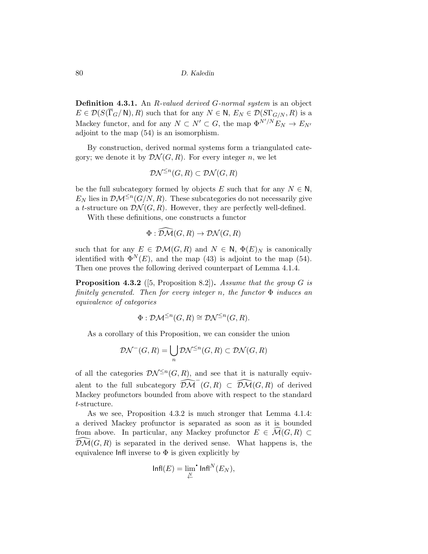**Definition 4.3.1.** An R-valued derived G-normal system is an object  $E \in \mathcal{D}(S(\overline{\Gamma}_G/N), R)$  such that for any  $N \in \mathbb{N}, E_N \in \mathcal{D}(S(\overline{\Gamma}_{G/N}, R)$  is a Mackey functor, and for any  $N \subset N' \subset G$ , the map  $\Phi^{N'/N} E_N \to E_{N'}$ adjoint to the map (54) is an isomorphism.

By construction, derived normal systems form a triangulated category; we denote it by  $\mathcal{D}\mathcal{N}(G,\mathbb{R})$ . For every integer n, we let

$$
\mathcal{D}\mathcal{N}^{\leq n}(G,R) \subset \mathcal{D}\mathcal{N}(G,R)
$$

be the full subcategory formed by objects E such that for any  $N \in \mathbb{N}$ ,  $E_N$  lies in  $\mathcal{DM}^{\leq n}(G/N, R)$ . These subcategories do not necessarily give a t-structure on  $\mathcal{D}\mathcal{N}(G,\mathbb{R})$ . However, they are perfectly well-defined.

With these definitions, one constructs a functor

$$
\Phi : \widehat{\mathcal{DM}}(G, R) \to \mathcal{DN}(G, R)
$$

such that for any  $E \in \mathcal{DM}(G, R)$  and  $N \in \mathbb{N}$ ,  $\Phi(E)_N$  is canonically identified with  $\Phi^{N}(E)$ , and the map (43) is adjoint to the map (54). Then one proves the following derived counterpart of Lemma 4.1.4.

**Proposition 4.3.2** ([5, Proposition 8.2]). Assume that the group  $G$  is finitely generated. Then for every integer n, the functor  $\Phi$  induces an equivalence of categories

$$
\Phi: \mathcal{DM}^{\leq n}(G, R) \cong \mathcal{DN}^{\leq n}(G, R).
$$

As a corollary of this Proposition, we can consider the union

$$
\mathcal{D}\mathcal{N}^-(G,R) = \bigcup_n \mathcal{D}\mathcal{N}^{\leq n}(G,R) \subset \mathcal{D}\mathcal{N}(G,R)
$$

of all the categories  $\mathcal{D} \mathcal{N}^{\leq n}(G,R)$ , and see that it is naturally equivalent to the full subcategory  $\widehat{\mathcal{DM}}^-(G,R) \subset \widehat{\mathcal{DM}}(G,R)$  of derived Mackey profunctors bounded from above with respect to the standard t-structure.

As we see, Proposition 4.3.2 is much stronger that Lemma 4.1.4: a derived Mackey profunctor is separated as soon as it is bounded from above. In particular, any Mackey profunctor  $E \in \widehat{\mathcal{M}}(G,R) \subset$  $\widehat{\mathcal{DM}}(G, R)$  is separated in the derived sense. What happens is, the equivalence  $\text{Infl}$  inverse to  $\Phi$  is given explicitly by

$$
\mathsf{Infl}(E)=\lim_{\underset{\longleftarrow}{\sim}}\,\mathsf{Infl}^N(E_N),
$$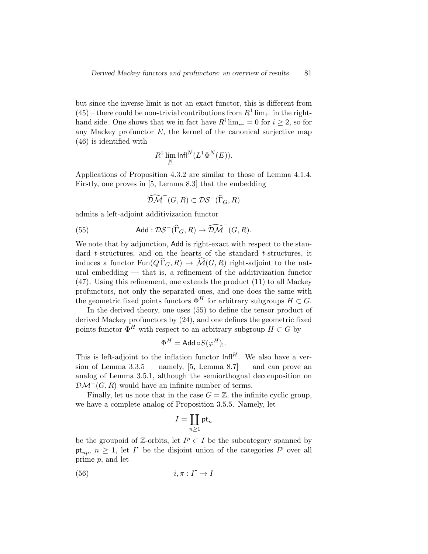but since the inverse limit is not an exact functor, this is different from  $(45)$  – there could be non-trivial contributions from  $R^1$  lim<sub> $\leftarrow$ </sub> in the righthand side. One shows that we in fact have  $R^i \lim_{\leftarrow} = 0$  for  $i \geq 2$ , so for any Mackey profunctor  $E$ , the kernel of the canonical surjective map (46) is identified with

$$
R^1\lim_{\stackrel{\longrightarrow}{\leftarrow}}\mathsf{Infl}^N(L^1\Phi^N(E)).
$$

Applications of Proposition 4.3.2 are similar to those of Lemma 4.1.4. Firstly, one proves in [5, Lemma 8.3] that the embedding

$$
\widehat{\mathcal{DM}}^-(G,R)\subset \mathcal{DS}^-(\widehat{\Gamma}_G,R)
$$

admits a left-adjoint additivization functor

(55) Add : 
$$
\mathcal{DS}^{-}(\widehat{\Gamma}_{G}, R) \to \widehat{\mathcal{DM}}^{-}(G, R)
$$
.

We note that by adjunction, Add is right-exact with respect to the standard t-structures, and on the hearts of the standard t-structures, it induces a functor  $\text{Fun}(Q \Gamma_G, R) \to \mathcal{M}(G, R)$  right-adjoint to the natural embedding — that is, a refinement of the additivization functor (47). Using this refinement, one extends the product (11) to all Mackey profunctors, not only the separated ones, and one does the same with the geometric fixed points functors  $\Phi^H$  for arbitrary subgroups  $H \subset G$ .

In the derived theory, one uses (55) to define the tensor product of derived Mackey profunctors by (24), and one defines the geometric fixed points functor  $\Phi^H$  with respect to an arbitrary subgroup  $H \subset G$  by

$$
\Phi^H = \mathsf{Add} \circ S(\varphi^H)_{!}.
$$

This is left-adjoint to the inflation functor  $\text{Infl}^H$ . We also have a version of Lemma  $3.3.5$  — namely, [5, Lemma  $8.7$ ] — and can prove an analog of Lemma 3.5.1, although the semiorthognal decomposition on  $\mathcal{DM}^-(G,R)$  would have an infinite number of terms.

Finally, let us note that in the case  $G = \mathbb{Z}$ , the infinite cyclic group, we have a complete analog of Proposition 3.5.5. Namely, let

$$
I=\coprod_{n\geq 1}\mathrm{pt}_n
$$

be the groupoid of  $\mathbb{Z}$ -orbits, let  $I^p \subset I$  be the subcategory spanned by pt<sub>np</sub>,  $n \geq 1$ , let I<sup>\*</sup> be the disjoint union of the categories I<sup>p</sup> over all prime p, and let

$$
(56) \t\t i, \pi : I^{\bullet} \to I
$$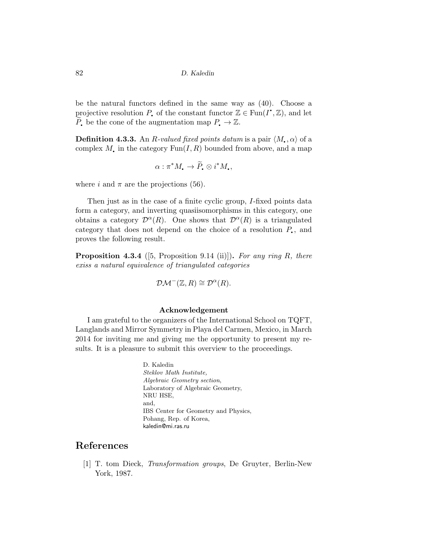be the natural functors defined in the same way as (40). Choose a projective resolution  $P_{\bullet}$  of the constant functor  $\mathbb{Z} \in \text{Fun}(I^{\bullet}, \mathbb{Z})$ , and let q  $\widetilde{P}_{\bullet}$  be the cone of the augmentation map  $P_{\bullet} \to \mathbb{Z}$ .

**Definition 4.3.3.** An R-valued fixed points datum is a pair  $\langle M_{\bullet}, \alpha \rangle$  of a complex M, in the category  $Fun(I, R)$  bounded from above, and a map

$$
\alpha: \pi^* M_{\bullet} \to \widetilde{P}_{\bullet} \otimes i^* M_{\bullet},
$$

where i and  $\pi$  are the projections (56).

Then just as in the case of a finite cyclic group, I-fixed points data form a category, and inverting quasiisomorphisms in this category, one obtains a category  $\mathcal{D}^{\alpha}(R)$ . One shows that  $\mathcal{D}^{\alpha}(R)$  is a triangulated category that does not depend on the choice of a resolution  $P_{\bullet}$ , and proves the following result.

**Proposition 4.3.4** ([5, Proposition 9.14 (ii)]). For any ring R, there exiss a natural equivalence of triangulated categories

$$
\mathcal{DM}^-(\mathbb{Z}, R) \cong \mathcal{D}^{\alpha}(R).
$$

#### Acknowledgement

I am grateful to the organizers of the International School on TQFT, Langlands and Mirror Symmetry in Playa del Carmen, Mexico, in March 2014 for inviting me and giving me the opportunity to present my results. It is a pleasure to submit this overview to the proceedings.

> D. Kaledin Steklov Math Institute, Algebraic Geometry section, Laboratory of Algebraic Geometry, NRU HSE, and, IBS Center for Geometry and Physics, Pohang, Rep. of Korea, kaledin@mi.ras.ru

## References

[1] T. tom Dieck, Transformation groups, De Gruyter, Berlin-New York, 1987.